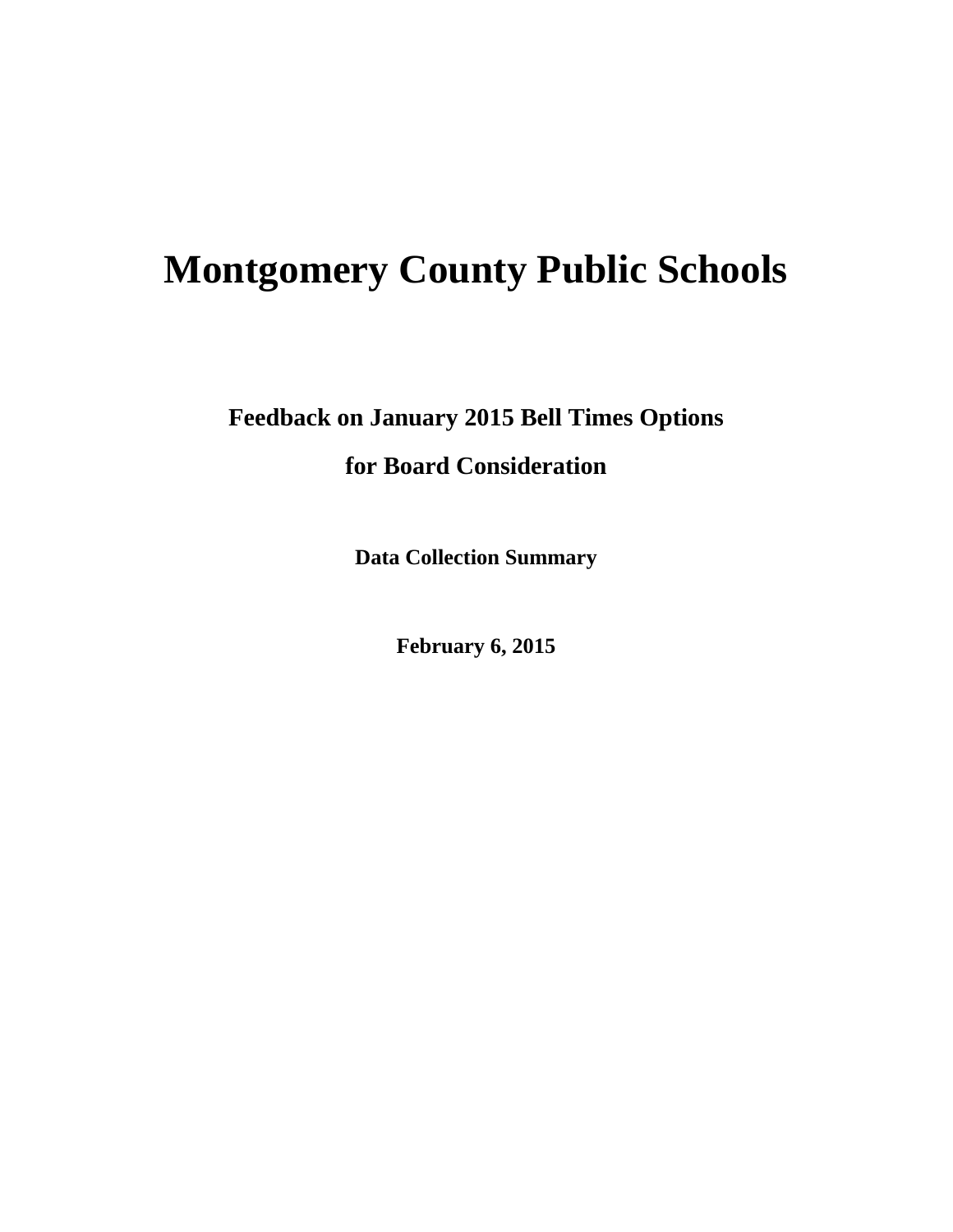# **Montgomery County Public Schools**

**Feedback on January 2015 Bell Times Options for Board Consideration** 

**Data Collection Summary** 

**February 6, 2015**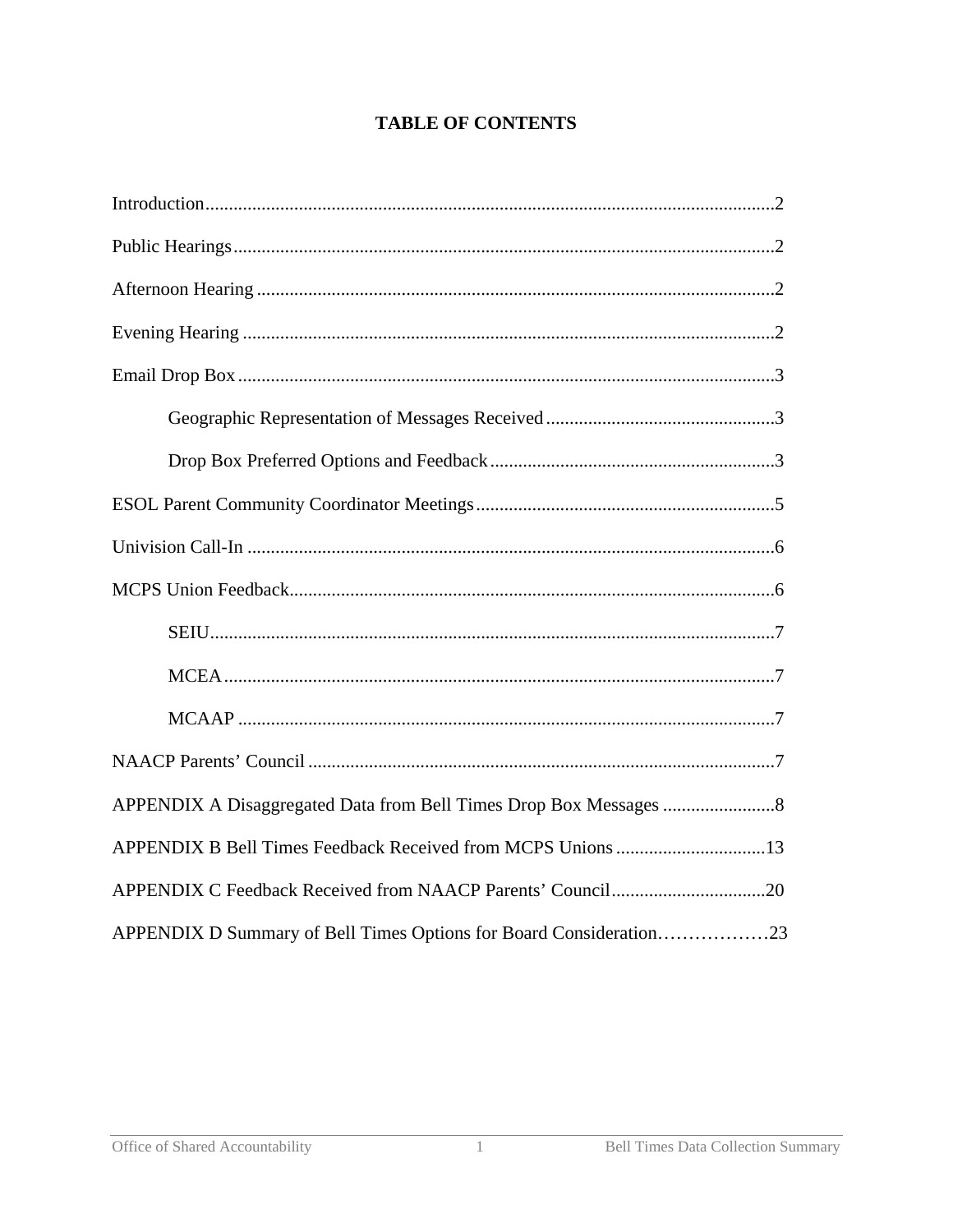## **TABLE OF CONTENTS**

| APPENDIX D Summary of Bell Times Options for Board Consideration23 |  |
|--------------------------------------------------------------------|--|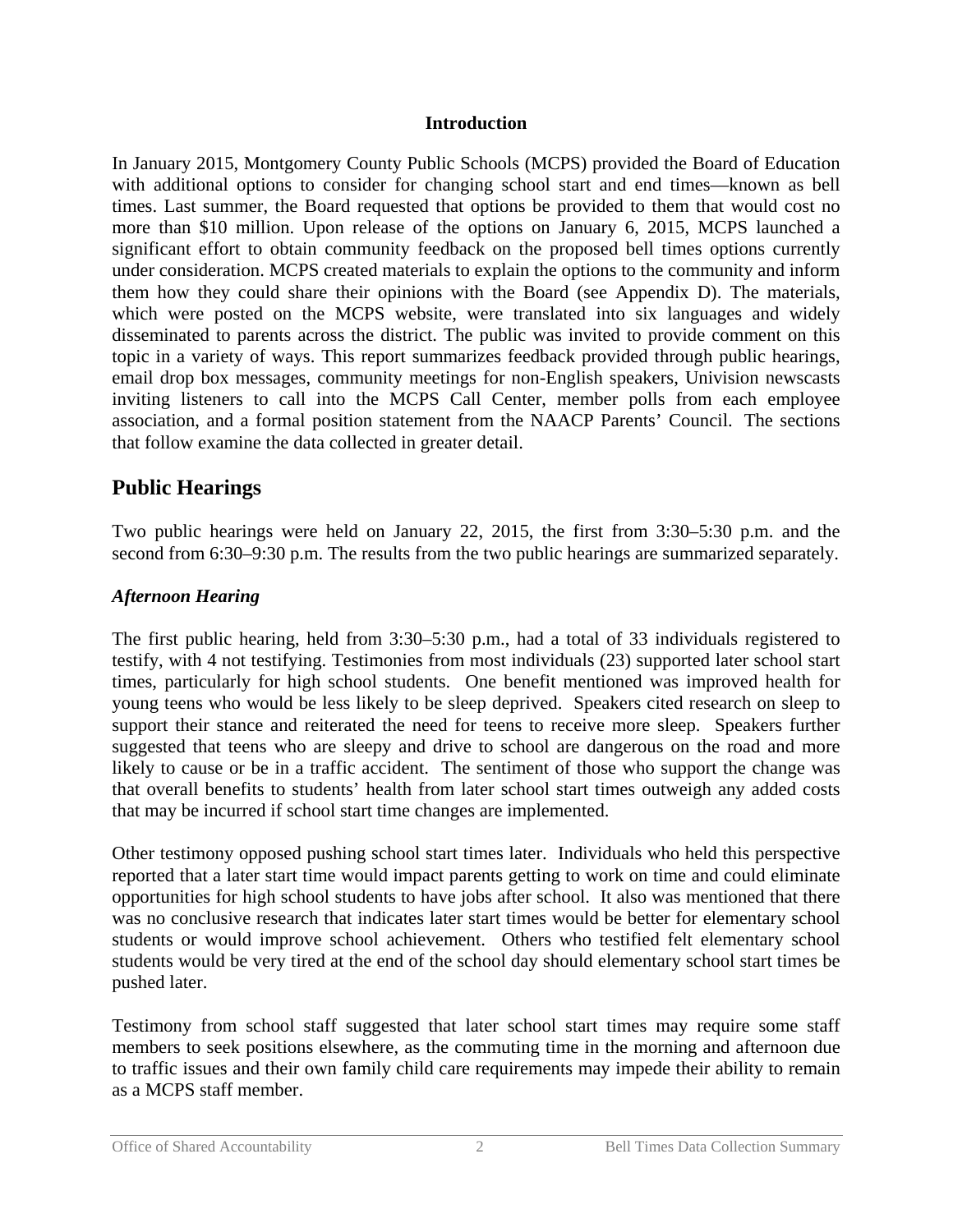#### **Introduction**

In January 2015, Montgomery County Public Schools (MCPS) provided the Board of Education with additional options to consider for changing school start and end times—known as bell times. Last summer, the Board requested that options be provided to them that would cost no more than \$10 million. Upon release of the options on January 6, 2015, MCPS launched a significant effort to obtain community feedback on the proposed bell times options currently under consideration. MCPS created materials to explain the options to the community and inform them how they could share their opinions with the Board (see Appendix D). The materials, which were posted on the MCPS website, were translated into six languages and widely disseminated to parents across the district. The public was invited to provide comment on this topic in a variety of ways. This report summarizes feedback provided through public hearings, email drop box messages, community meetings for non-English speakers, Univision newscasts inviting listeners to call into the MCPS Call Center, member polls from each employee association, and a formal position statement from the NAACP Parents' Council. The sections that follow examine the data collected in greater detail.

## **Public Hearings**

Two public hearings were held on January 22, 2015, the first from 3:30–5:30 p.m. and the second from 6:30–9:30 p.m. The results from the two public hearings are summarized separately.

### *Afternoon Hearing*

The first public hearing, held from 3:30–5:30 p.m., had a total of 33 individuals registered to testify, with 4 not testifying. Testimonies from most individuals (23) supported later school start times, particularly for high school students. One benefit mentioned was improved health for young teens who would be less likely to be sleep deprived. Speakers cited research on sleep to support their stance and reiterated the need for teens to receive more sleep. Speakers further suggested that teens who are sleepy and drive to school are dangerous on the road and more likely to cause or be in a traffic accident. The sentiment of those who support the change was that overall benefits to students' health from later school start times outweigh any added costs that may be incurred if school start time changes are implemented.

Other testimony opposed pushing school start times later. Individuals who held this perspective reported that a later start time would impact parents getting to work on time and could eliminate opportunities for high school students to have jobs after school. It also was mentioned that there was no conclusive research that indicates later start times would be better for elementary school students or would improve school achievement. Others who testified felt elementary school students would be very tired at the end of the school day should elementary school start times be pushed later.

Testimony from school staff suggested that later school start times may require some staff members to seek positions elsewhere, as the commuting time in the morning and afternoon due to traffic issues and their own family child care requirements may impede their ability to remain as a MCPS staff member.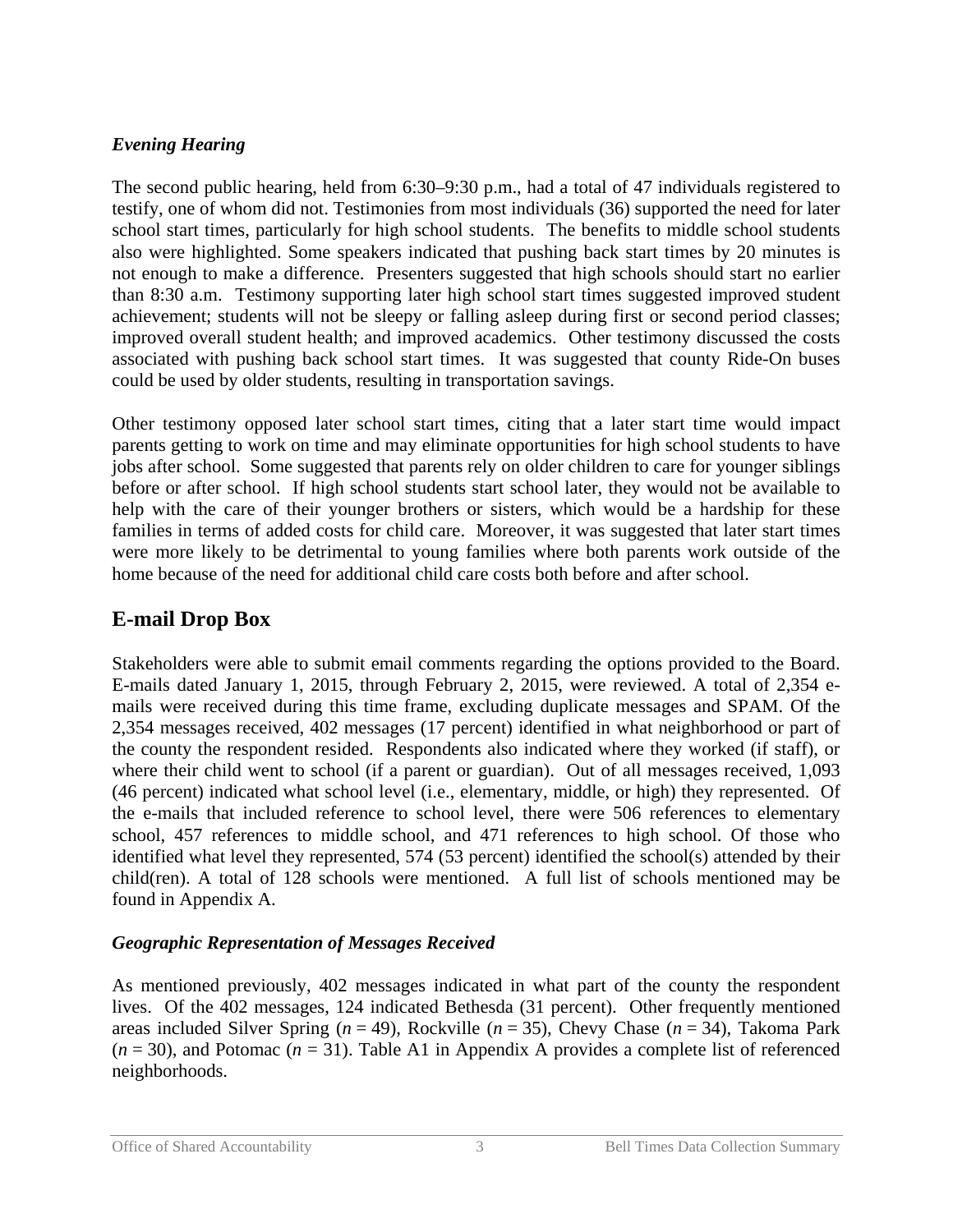## *Evening Hearing*

The second public hearing, held from 6:30–9:30 p.m., had a total of 47 individuals registered to testify, one of whom did not. Testimonies from most individuals (36) supported the need for later school start times, particularly for high school students. The benefits to middle school students also were highlighted. Some speakers indicated that pushing back start times by 20 minutes is not enough to make a difference. Presenters suggested that high schools should start no earlier than 8:30 a.m. Testimony supporting later high school start times suggested improved student achievement; students will not be sleepy or falling asleep during first or second period classes; improved overall student health; and improved academics. Other testimony discussed the costs associated with pushing back school start times. It was suggested that county Ride-On buses could be used by older students, resulting in transportation savings.

Other testimony opposed later school start times, citing that a later start time would impact parents getting to work on time and may eliminate opportunities for high school students to have jobs after school. Some suggested that parents rely on older children to care for younger siblings before or after school. If high school students start school later, they would not be available to help with the care of their younger brothers or sisters, which would be a hardship for these families in terms of added costs for child care. Moreover, it was suggested that later start times were more likely to be detrimental to young families where both parents work outside of the home because of the need for additional child care costs both before and after school.

# **E-mail Drop Box**

Stakeholders were able to submit email comments regarding the options provided to the Board. E-mails dated January 1, 2015, through February 2, 2015, were reviewed. A total of 2,354 emails were received during this time frame, excluding duplicate messages and SPAM. Of the 2,354 messages received, 402 messages (17 percent) identified in what neighborhood or part of the county the respondent resided. Respondents also indicated where they worked (if staff), or where their child went to school (if a parent or guardian). Out of all messages received, 1,093 (46 percent) indicated what school level (i.e., elementary, middle, or high) they represented. Of the e-mails that included reference to school level, there were 506 references to elementary school, 457 references to middle school, and 471 references to high school. Of those who identified what level they represented, 574 (53 percent) identified the school(s) attended by their child(ren). A total of 128 schools were mentioned. A full list of schools mentioned may be found in Appendix A.

## *Geographic Representation of Messages Received*

As mentioned previously, 402 messages indicated in what part of the county the respondent lives. Of the 402 messages, 124 indicated Bethesda (31 percent). Other frequently mentioned areas included Silver Spring (*n* = 49), Rockville (*n* = 35), Chevy Chase (*n* = 34), Takoma Park  $(n = 30)$ , and Potomac  $(n = 31)$ . Table A1 in Appendix A provides a complete list of referenced neighborhoods.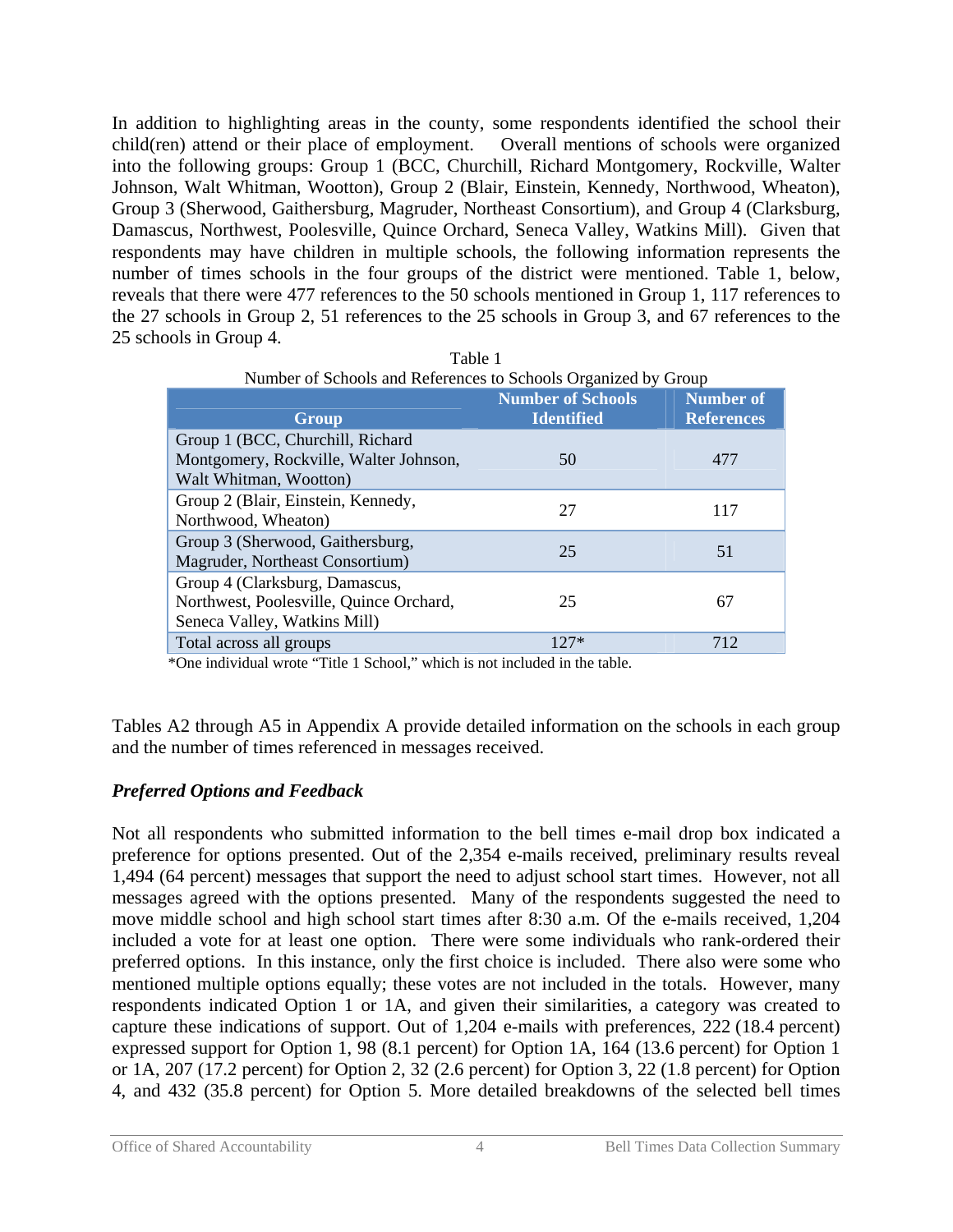In addition to highlighting areas in the county, some respondents identified the school their child(ren) attend or their place of employment. Overall mentions of schools were organized into the following groups: Group 1 (BCC, Churchill, Richard Montgomery, Rockville, Walter Johnson, Walt Whitman, Wootton), Group 2 (Blair, Einstein, Kennedy, Northwood, Wheaton), Group 3 (Sherwood, Gaithersburg, Magruder, Northeast Consortium), and Group 4 (Clarksburg, Damascus, Northwest, Poolesville, Quince Orchard, Seneca Valley, Watkins Mill). Given that respondents may have children in multiple schools, the following information represents the number of times schools in the four groups of the district were mentioned. Table 1, below, reveals that there were 477 references to the 50 schools mentioned in Group 1, 117 references to the 27 schools in Group 2, 51 references to the 25 schools in Group 3, and 67 references to the 25 schools in Group 4.

| Group                                                                                                     | <b>Number of Schools</b><br><b>Identified</b> | <b>Number of</b><br><b>References</b> |
|-----------------------------------------------------------------------------------------------------------|-----------------------------------------------|---------------------------------------|
| Group 1 (BCC, Churchill, Richard<br>Montgomery, Rockville, Walter Johnson,<br>Walt Whitman, Wootton)      | 50                                            | 477                                   |
| Group 2 (Blair, Einstein, Kennedy,<br>Northwood, Wheaton)                                                 | 27                                            | 117                                   |
| Group 3 (Sherwood, Gaithersburg,<br>Magruder, Northeast Consortium)                                       | 25                                            | 51                                    |
| Group 4 (Clarksburg, Damascus,<br>Northwest, Poolesville, Quince Orchard,<br>Seneca Valley, Watkins Mill) | 25                                            | 67                                    |
| Total across all groups                                                                                   | $127*$                                        | 712                                   |

| Table 1                                                        |
|----------------------------------------------------------------|
| Number of Schools and References to Schools Organized by Group |

\*One individual wrote "Title 1 School," which is not included in the table.

Tables A2 through A5 in Appendix A provide detailed information on the schools in each group and the number of times referenced in messages received.

#### *Preferred Options and Feedback*

Not all respondents who submitted information to the bell times e-mail drop box indicated a preference for options presented. Out of the 2,354 e-mails received, preliminary results reveal 1,494 (64 percent) messages that support the need to adjust school start times. However, not all messages agreed with the options presented. Many of the respondents suggested the need to move middle school and high school start times after 8:30 a.m. Of the e-mails received, 1,204 included a vote for at least one option. There were some individuals who rank-ordered their preferred options. In this instance, only the first choice is included. There also were some who mentioned multiple options equally; these votes are not included in the totals. However, many respondents indicated Option 1 or 1A, and given their similarities, a category was created to capture these indications of support. Out of 1,204 e-mails with preferences, 222 (18.4 percent) expressed support for Option 1, 98 (8.1 percent) for Option 1A, 164 (13.6 percent) for Option 1 or 1A, 207 (17.2 percent) for Option 2, 32 (2.6 percent) for Option 3, 22 (1.8 percent) for Option 4, and 432 (35.8 percent) for Option 5. More detailed breakdowns of the selected bell times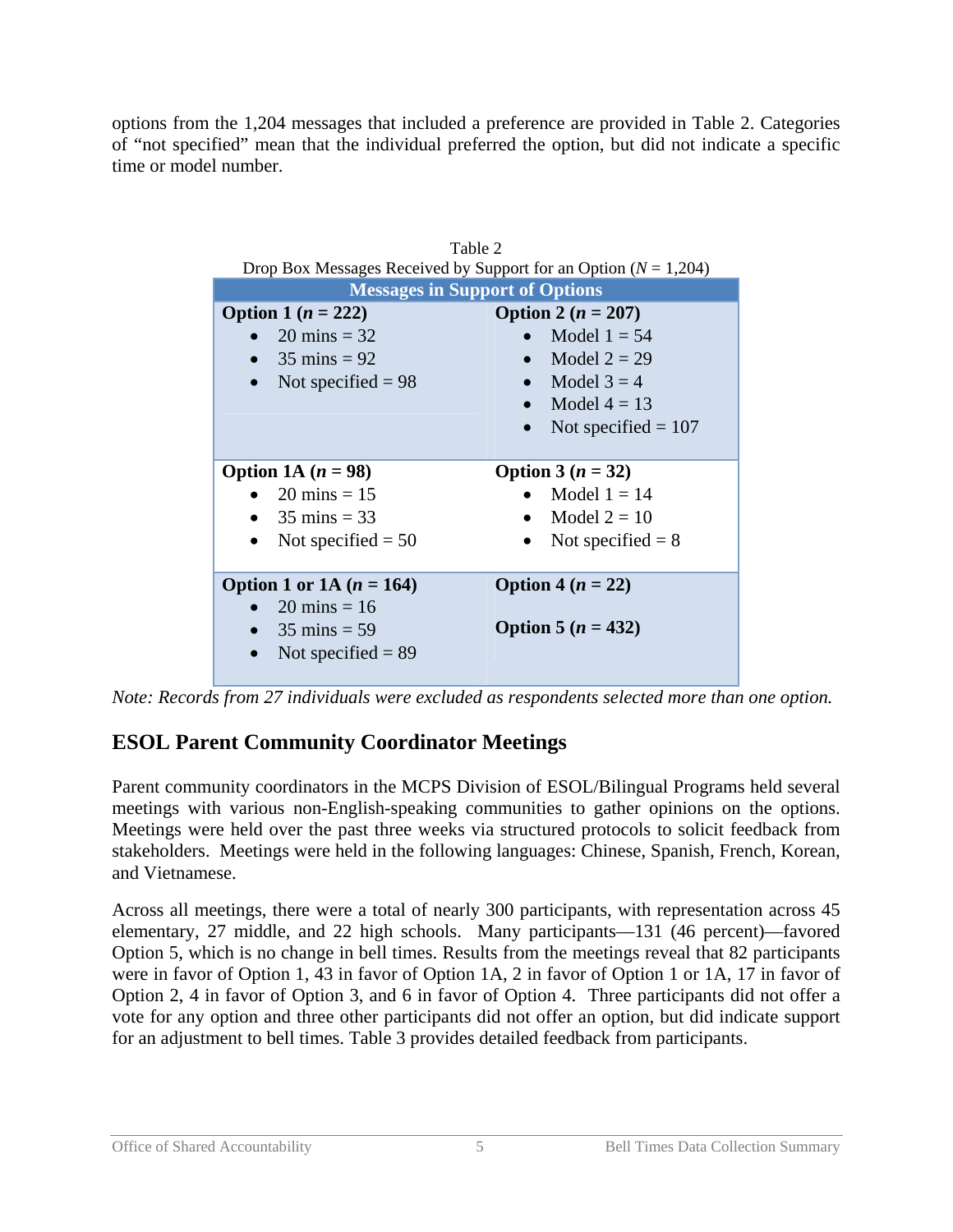options from the 1,204 messages that included a preference are provided in Table 2. Categories of "not specified" mean that the individual preferred the option, but did not indicate a specific time or model number.

| Table 2<br>Drop Box Messages Received by Support for an Option ( $N = 1,204$ )                          |                                                                                                                             |  |
|---------------------------------------------------------------------------------------------------------|-----------------------------------------------------------------------------------------------------------------------------|--|
| <b>Messages in Support of Options</b>                                                                   |                                                                                                                             |  |
| <b>Option 1</b> $(n = 222)$<br>$20 \text{ mins} = 32$<br>$35 \text{ mins} = 92$<br>Not specified $= 98$ | <b>Option 2</b> $(n = 207)$<br>Model $1 = 54$<br>Model $2 = 29$<br>Model $3 = 4$<br>Model $4 = 13$<br>Not specified $= 107$ |  |
| Option 1A $(n = 98)$<br>20 mins = $15$<br>• 35 mins = 33<br>Not specified $= 50$                        | Option 3 $(n = 32)$<br>Model $1 = 14$<br>Model $2 = 10$<br>Not specified $= 8$                                              |  |
| Option 1 or 1A $(n = 164)$                                                                              | Option 4 $(n = 22)$                                                                                                         |  |

*Note: Records from 27 individuals were excluded as respondents selected more than one option.* 

# **ESOL Parent Community Coordinator Meetings**

Parent community coordinators in the MCPS Division of ESOL/Bilingual Programs held several meetings with various non-English-speaking communities to gather opinions on the options. Meetings were held over the past three weeks via structured protocols to solicit feedback from stakeholders. Meetings were held in the following languages: Chinese, Spanish, French, Korean, and Vietnamese.

Across all meetings, there were a total of nearly 300 participants, with representation across 45 elementary, 27 middle, and 22 high schools. Many participants—131 (46 percent)—favored Option 5, which is no change in bell times. Results from the meetings reveal that 82 participants were in favor of Option 1, 43 in favor of Option 1A, 2 in favor of Option 1 or 1A, 17 in favor of Option 2, 4 in favor of Option 3, and 6 in favor of Option 4. Three participants did not offer a vote for any option and three other participants did not offer an option, but did indicate support for an adjustment to bell times. Table 3 provides detailed feedback from participants.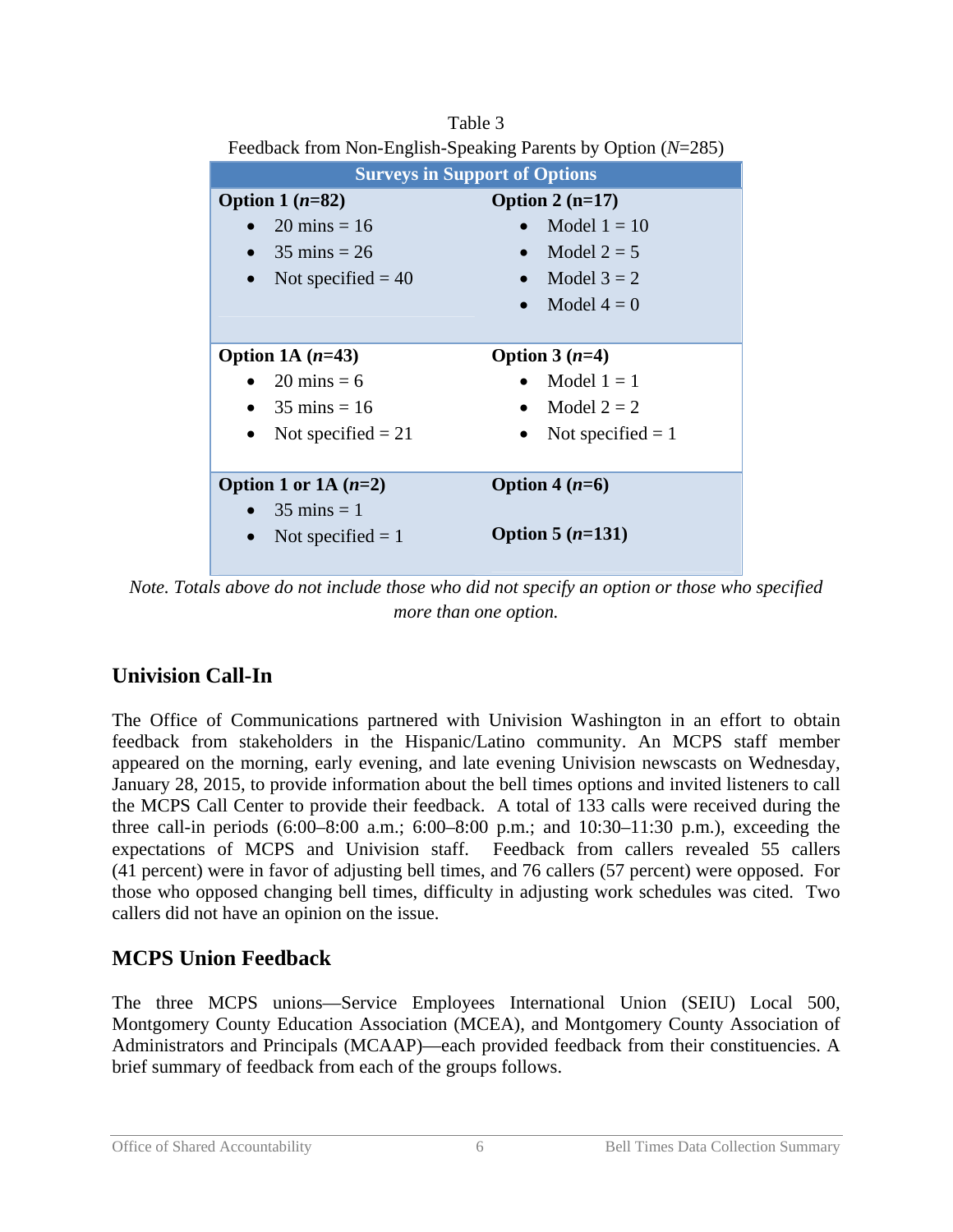| Feedback from Non-English-Speaking Parents by Option $(N=285)$ |                          |  |
|----------------------------------------------------------------|--------------------------|--|
| <b>Surveys in Support of Options</b>                           |                          |  |
| Option $1(n=82)$                                               | Option $2(n=17)$         |  |
| $20 \text{ mins} = 16$                                         | Model $1 = 10$           |  |
| • 35 mins $= 26$                                               | Model $2 = 5$            |  |
| Not specified $=$ 40                                           | Model $3 = 2$            |  |
|                                                                | Model $4=0$              |  |
|                                                                |                          |  |
| Option 1A $(n=43)$                                             | Option $3(n=4)$          |  |
| $20 \text{ mins} = 6$                                          | Model $1 = 1$            |  |
| $35 \text{ mins} = 16$                                         | Model $2 = 2$            |  |
| Not specified $= 21$<br>$\bullet$                              | Not specified $= 1$<br>٠ |  |
|                                                                |                          |  |
| Option 1 or 1A $(n=2)$                                         | Option 4 $(n=6)$         |  |
| $\bullet$ 35 mins = 1                                          |                          |  |
| Not specified $= 1$<br>$\bullet$                               | Option 5 $(n=131)$       |  |
|                                                                |                          |  |

Table 3

*Note. Totals above do not include those who did not specify an option or those who specified more than one option.* 

# **Univision Call-In**

The Office of Communications partnered with Univision Washington in an effort to obtain feedback from stakeholders in the Hispanic/Latino community. An MCPS staff member appeared on the morning, early evening, and late evening Univision newscasts on Wednesday, January 28, 2015, to provide information about the bell times options and invited listeners to call the MCPS Call Center to provide their feedback. A total of 133 calls were received during the three call-in periods (6:00–8:00 a.m.; 6:00–8:00 p.m.; and 10:30–11:30 p.m.), exceeding the expectations of MCPS and Univision staff. Feedback from callers revealed 55 callers (41 percent) were in favor of adjusting bell times, and 76 callers (57 percent) were opposed. For those who opposed changing bell times, difficulty in adjusting work schedules was cited. Two callers did not have an opinion on the issue.

# **MCPS Union Feedback**

The three MCPS unions—Service Employees International Union (SEIU) Local 500, Montgomery County Education Association (MCEA), and Montgomery County Association of Administrators and Principals (MCAAP)—each provided feedback from their constituencies. A brief summary of feedback from each of the groups follows.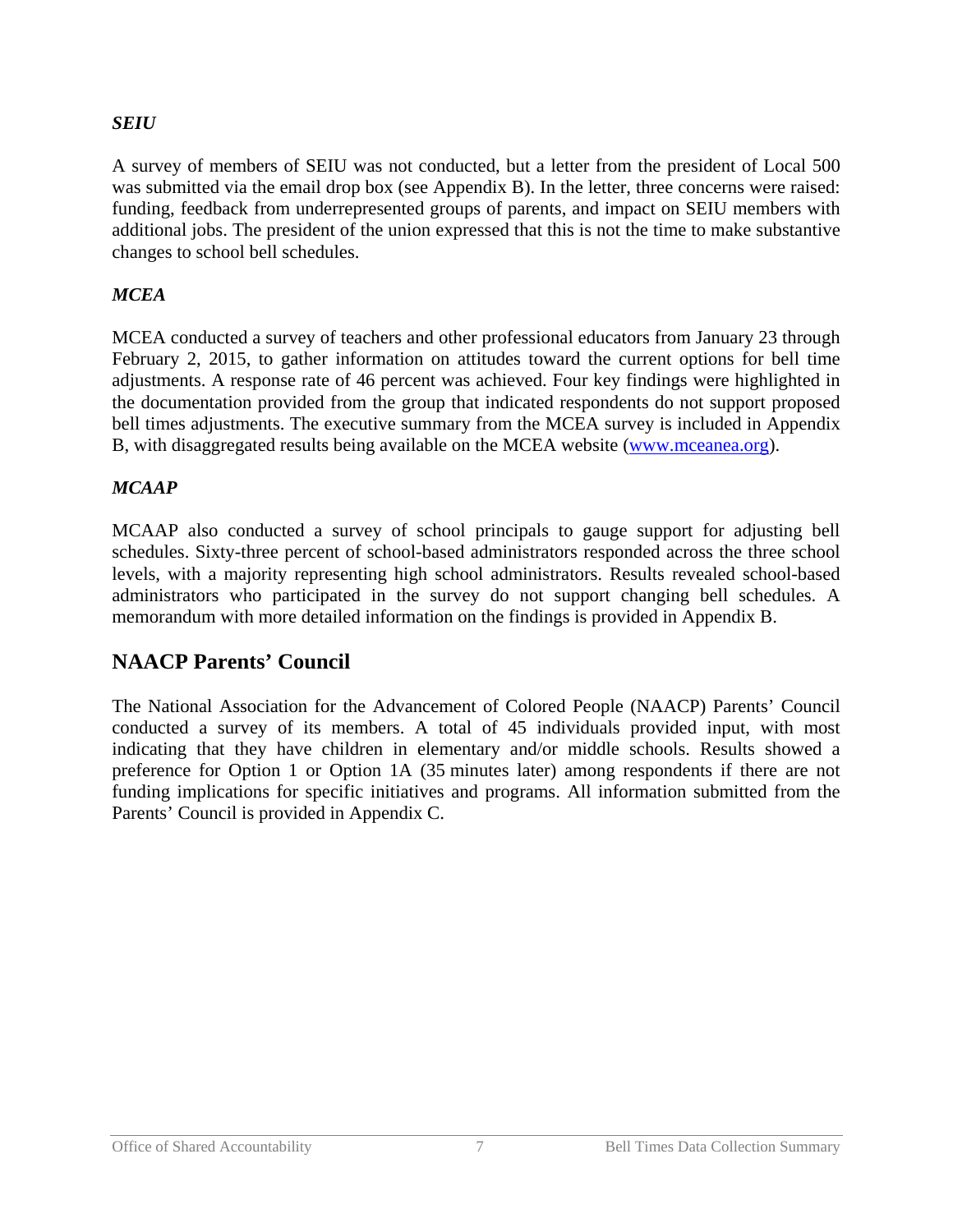#### *SEIU*

A survey of members of SEIU was not conducted, but a letter from the president of Local 500 was submitted via the email drop box (see Appendix B). In the letter, three concerns were raised: funding, feedback from underrepresented groups of parents, and impact on SEIU members with additional jobs. The president of the union expressed that this is not the time to make substantive changes to school bell schedules.

#### *MCEA*

MCEA conducted a survey of teachers and other professional educators from January 23 through February 2, 2015, to gather information on attitudes toward the current options for bell time adjustments. A response rate of 46 percent was achieved. Four key findings were highlighted in the documentation provided from the group that indicated respondents do not support proposed bell times adjustments. The executive summary from the MCEA survey is included in Appendix B, with disaggregated results being available on the MCEA website [\(www.mceanea.org\).](http://mceanea.org/mcea-bell-time-survey-results/)

#### *MCAAP*

MCAAP also conducted a survey of school principals to gauge support for adjusting bell schedules. Sixty-three percent of school-based administrators responded across the three school levels, with a majority representing high school administrators. Results revealed school-based administrators who participated in the survey do not support changing bell schedules. A memorandum with more detailed information on the findings is provided in Appendix B.

## **NAACP Parents' Council**

The National Association for the Advancement of Colored People (NAACP) Parents' Council conducted a survey of its members. A total of 45 individuals provided input, with most indicating that they have children in elementary and/or middle schools. Results showed a preference for Option 1 or Option 1A (35 minutes later) among respondents if there are not funding implications for specific initiatives and programs. All information submitted from the Parents' Council is provided in Appendix C.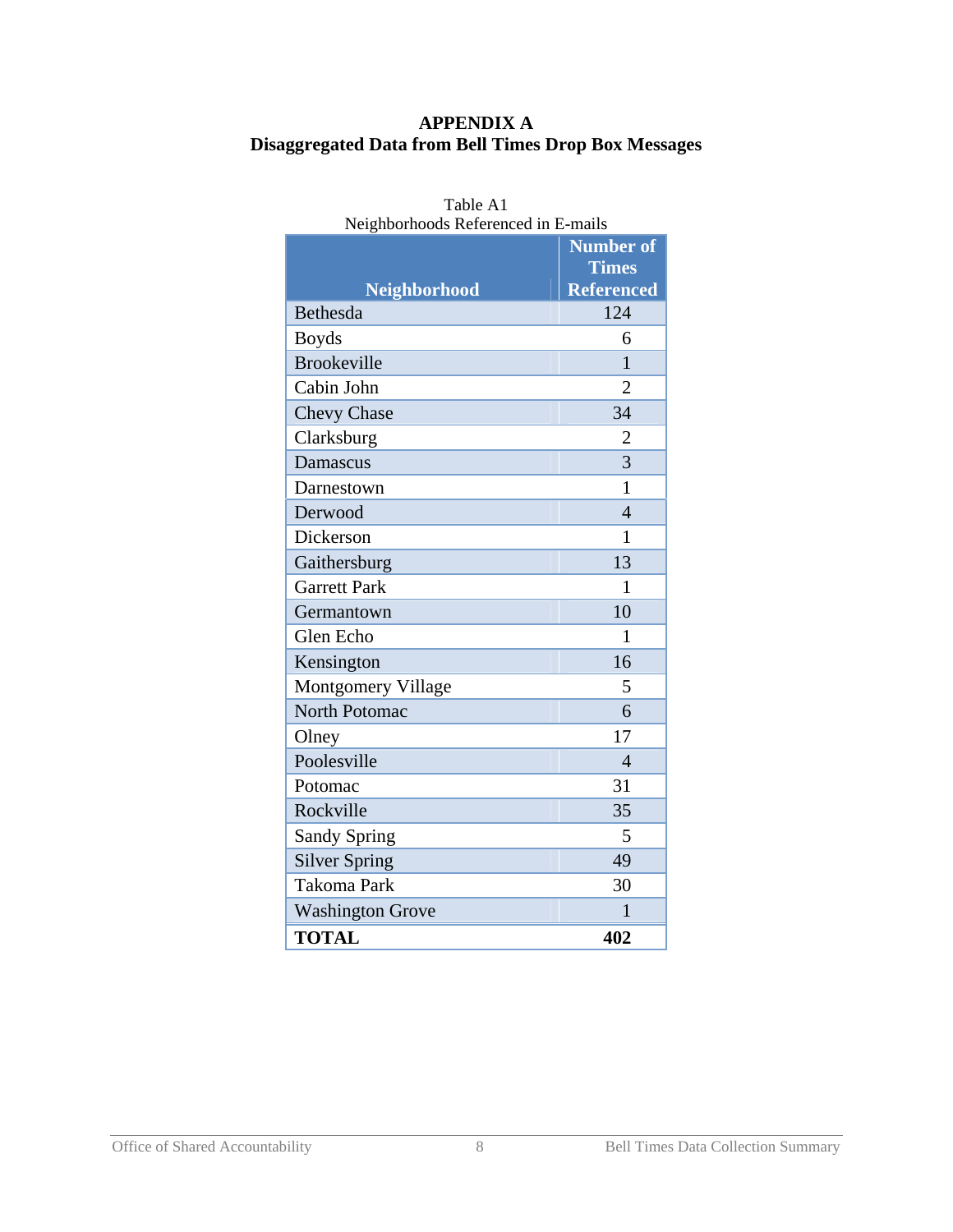### **APPENDIX A Disaggregated Data from Bell Times Drop Box Messages**

| Neighborhoods Referenced in E-mails |                   |  |
|-------------------------------------|-------------------|--|
|                                     | <b>Number of</b>  |  |
|                                     | <b>Times</b>      |  |
| <b>Neighborhood</b>                 | <b>Referenced</b> |  |
| Bethesda                            | 124               |  |
| <b>Boyds</b>                        | 6                 |  |
| <b>Brookeville</b>                  | $\mathbf{1}$      |  |
| Cabin John                          | $\overline{2}$    |  |
| <b>Chevy Chase</b>                  | 34                |  |
| Clarksburg                          | $\overline{2}$    |  |
| Damascus                            | 3                 |  |
| Darnestown                          | 1                 |  |
| Derwood                             | $\overline{4}$    |  |
| Dickerson                           | 1                 |  |
| Gaithersburg                        | 13                |  |
| <b>Garrett Park</b>                 | 1                 |  |
| Germantown                          | 10                |  |
| Glen Echo                           | 1                 |  |
| Kensington                          | 16                |  |
| Montgomery Village                  | 5                 |  |
| North Potomac                       | 6                 |  |
| Olney                               | 17                |  |
| Poolesville                         | $\overline{4}$    |  |
| Potomac                             | 31                |  |
| Rockville                           | 35                |  |
| <b>Sandy Spring</b>                 | 5                 |  |
| <b>Silver Spring</b>                | 49                |  |
| <b>Takoma Park</b>                  | 30                |  |
| <b>Washington Grove</b>             | 1                 |  |
| <b>TOTAL</b>                        | 402               |  |

# Table A1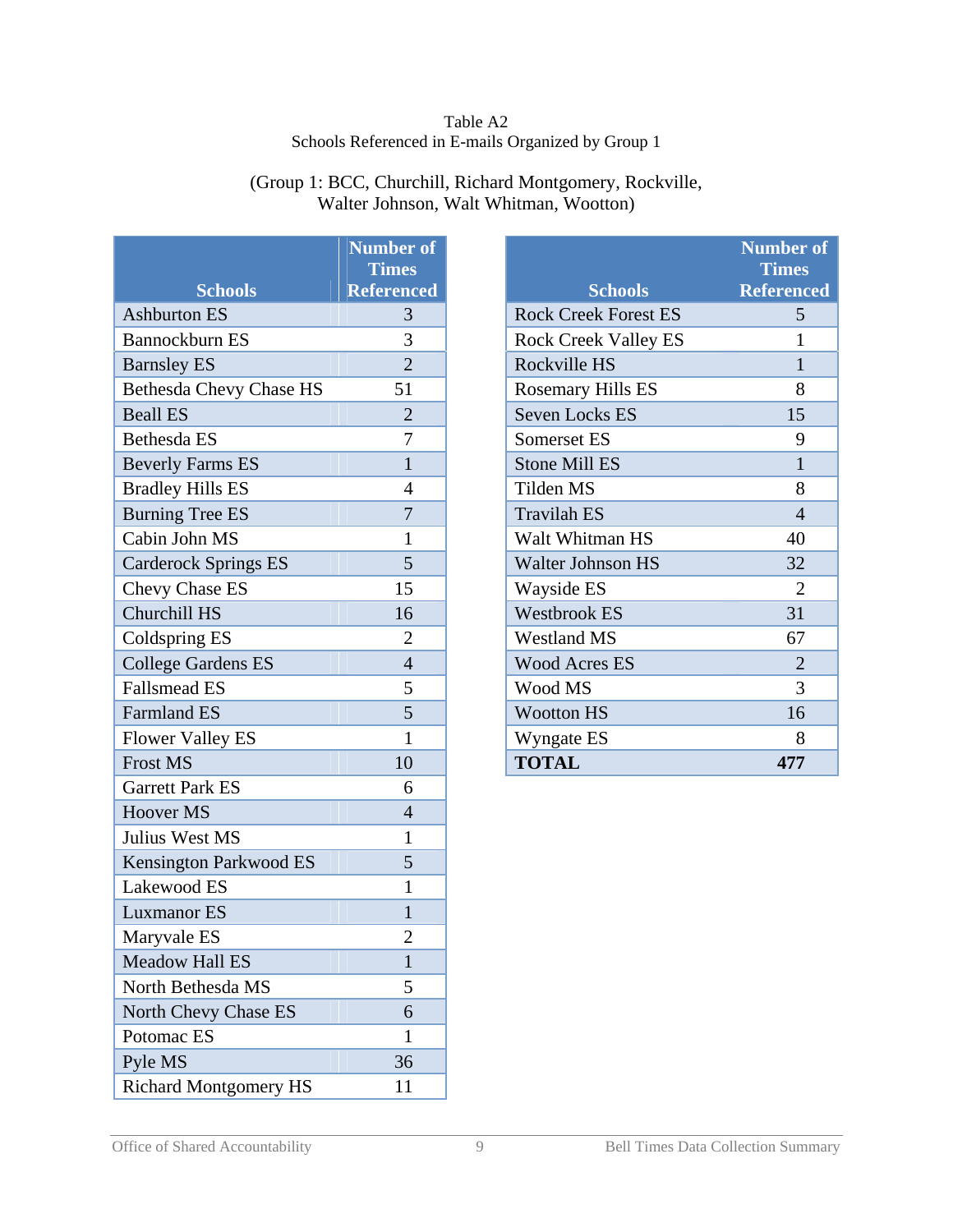#### Table A2 Schools Referenced in E-mails Organized by Group 1

| (Group 1: BCC, Churchill, Richard Montgomery, Rockville, |
|----------------------------------------------------------|
| Walter Johnson, Walt Whitman, Wootton)                   |

|                                | <b>Number of</b>  |
|--------------------------------|-------------------|
|                                | <b>Times</b>      |
| <b>Schools</b>                 | <b>Referenced</b> |
| <b>Ashburton ES</b>            | 3                 |
| Bannockburn ES                 | 3                 |
| <b>Barnsley ES</b>             | $\overline{2}$    |
| <b>Bethesda Chevy Chase HS</b> | 51                |
| <b>Beall ES</b>                | $\overline{c}$    |
| Bethesda ES                    | 7                 |
| <b>Beverly Farms ES</b>        | $\mathbf{1}$      |
| <b>Bradley Hills ES</b>        | 4                 |
| <b>Burning Tree ES</b>         | $\overline{7}$    |
| Cabin John MS                  | 1                 |
| <b>Carderock Springs ES</b>    | 5                 |
| Chevy Chase ES                 | 15                |
| Churchill HS                   | 16                |
| Coldspring ES                  | 2                 |
| <b>College Gardens ES</b>      | $\overline{4}$    |
| <b>Fallsmead ES</b>            | 5                 |
| <b>Farmland ES</b>             | 5                 |
| <b>Flower Valley ES</b>        | $\mathbf{1}$      |
| <b>Frost MS</b>                | 10                |
| <b>Garrett Park ES</b>         | 6                 |
| <b>Hoover MS</b>               | $\overline{4}$    |
| Julius West MS                 | 1                 |
| <b>Kensington Parkwood ES</b>  | 5                 |
| Lakewood ES                    | $\mathbf{1}$      |
| <b>Luxmanor ES</b>             | 1                 |
| Maryvale ES                    | $\overline{c}$    |
| <b>Meadow Hall ES</b>          | $\mathbf{1}$      |
| North Bethesda MS              | 5                 |
| North Chevy Chase ES           | 6                 |
| Potomac ES                     | $\mathbf{1}$      |
| Pyle MS                        | 36                |
| <b>Richard Montgomery HS</b>   | 11                |

|                             | <b>Number of</b><br><b>Times</b> |
|-----------------------------|----------------------------------|
| <b>Schools</b>              | <b>Referenced</b>                |
| <b>Rock Creek Forest ES</b> | 5                                |
| <b>Rock Creek Valley ES</b> | 1                                |
| Rockville HS                | 1                                |
| Rosemary Hills ES           | 8                                |
| <b>Seven Locks ES</b>       | 15                               |
| <b>Somerset ES</b>          | 9                                |
| <b>Stone Mill ES</b>        | 1                                |
| Tilden MS                   | 8                                |
| <b>Travilah ES</b>          | $\boldsymbol{\varDelta}$         |
| Walt Whitman HS             | 40                               |
| <b>Walter Johnson HS</b>    | 32                               |
| Wayside ES                  | $\overline{2}$                   |
| <b>Westbrook ES</b>         | 31                               |
| <b>Westland MS</b>          | 67                               |
| <b>Wood Acres ES</b>        | $\overline{2}$                   |
| Wood MS                     | 3                                |
| <b>Wootton HS</b>           | 16                               |
| Wyngate ES                  | 8                                |
| <b>TOTAL</b>                | 477                              |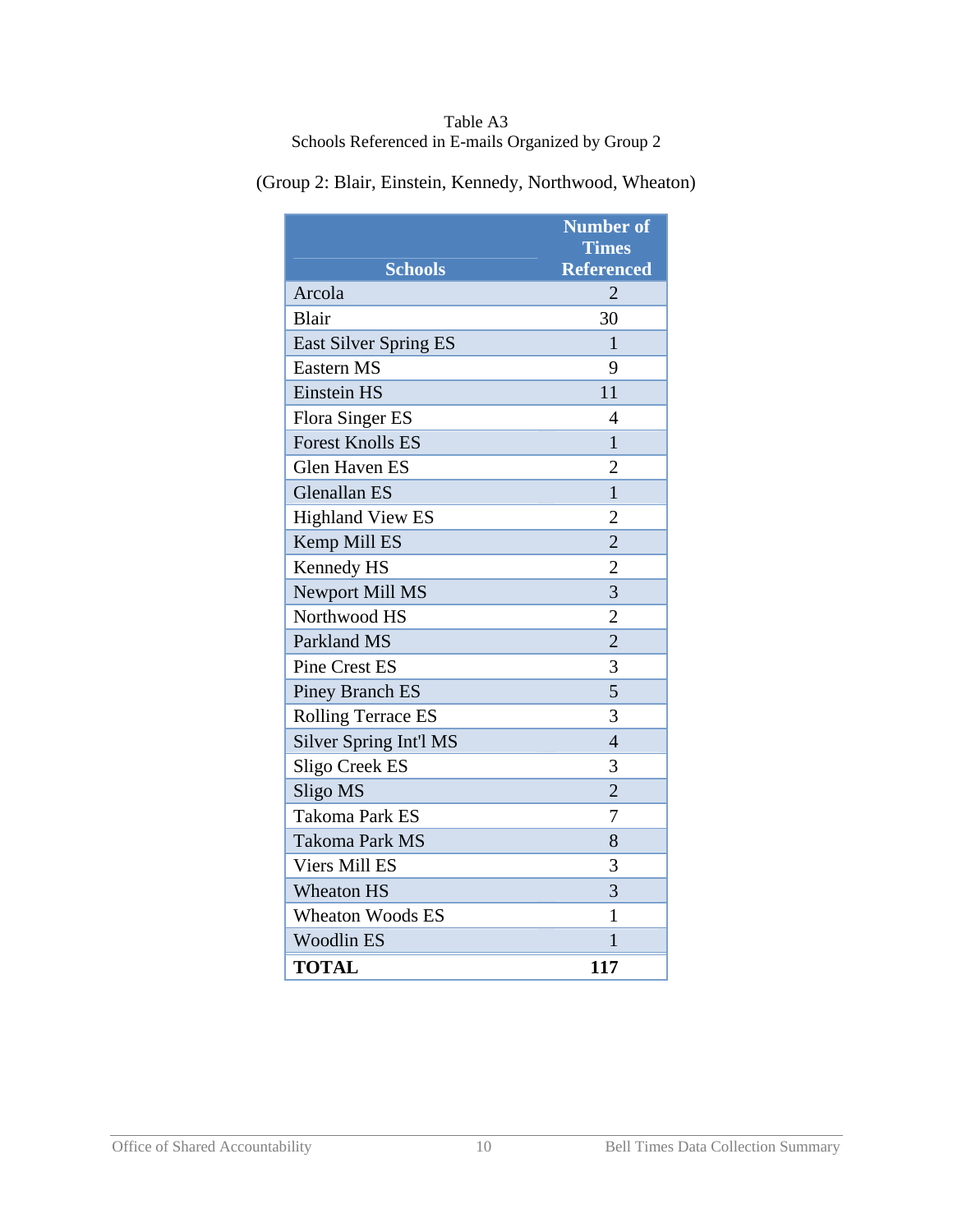| Table A3                                           |  |
|----------------------------------------------------|--|
| Schools Referenced in E-mails Organized by Group 2 |  |

| <b>Schools</b>               | <b>Number of</b><br><b>Times</b><br><b>Referenced</b> |
|------------------------------|-------------------------------------------------------|
| Arcola                       | $\overline{2}$                                        |
| Blair                        | 30                                                    |
| <b>East Silver Spring ES</b> | $\mathbf{1}$                                          |
| <b>Eastern MS</b>            | 9                                                     |
| <b>Einstein HS</b>           | 11                                                    |
| Flora Singer ES              | $\overline{4}$                                        |
| <b>Forest Knolls ES</b>      | $\mathbf{1}$                                          |
| <b>Glen Haven ES</b>         | $\overline{2}$                                        |
| <b>Glenallan ES</b>          | $\mathbf{1}$                                          |
| <b>Highland View ES</b>      | $\overline{2}$                                        |
| Kemp Mill ES                 | $\overline{2}$                                        |
| Kennedy HS                   | $\overline{2}$                                        |
| <b>Newport Mill MS</b>       | 3                                                     |
| Northwood HS                 | $\overline{2}$                                        |
| Parkland MS                  | $\overline{2}$                                        |
| <b>Pine Crest ES</b>         | 3                                                     |
| <b>Piney Branch ES</b>       | 5                                                     |
| <b>Rolling Terrace ES</b>    | 3                                                     |
| Silver Spring Int'l MS       | $\overline{4}$                                        |
| Sligo Creek ES               | 3                                                     |
| Sligo MS                     | $\overline{2}$                                        |
| <b>Takoma Park ES</b>        | 7                                                     |
| <b>Takoma Park MS</b>        | 8                                                     |
| <b>Viers Mill ES</b>         | 3                                                     |
|                              |                                                       |
| <b>Wheaton HS</b>            | 3<br>1                                                |
| <b>Wheaton Woods ES</b>      |                                                       |
| <b>Woodlin ES</b>            | $\mathbf{1}$                                          |
| <b>TOTAL</b>                 | 117                                                   |

(Group 2: Blair, Einstein, Kennedy, Northwood, Wheaton)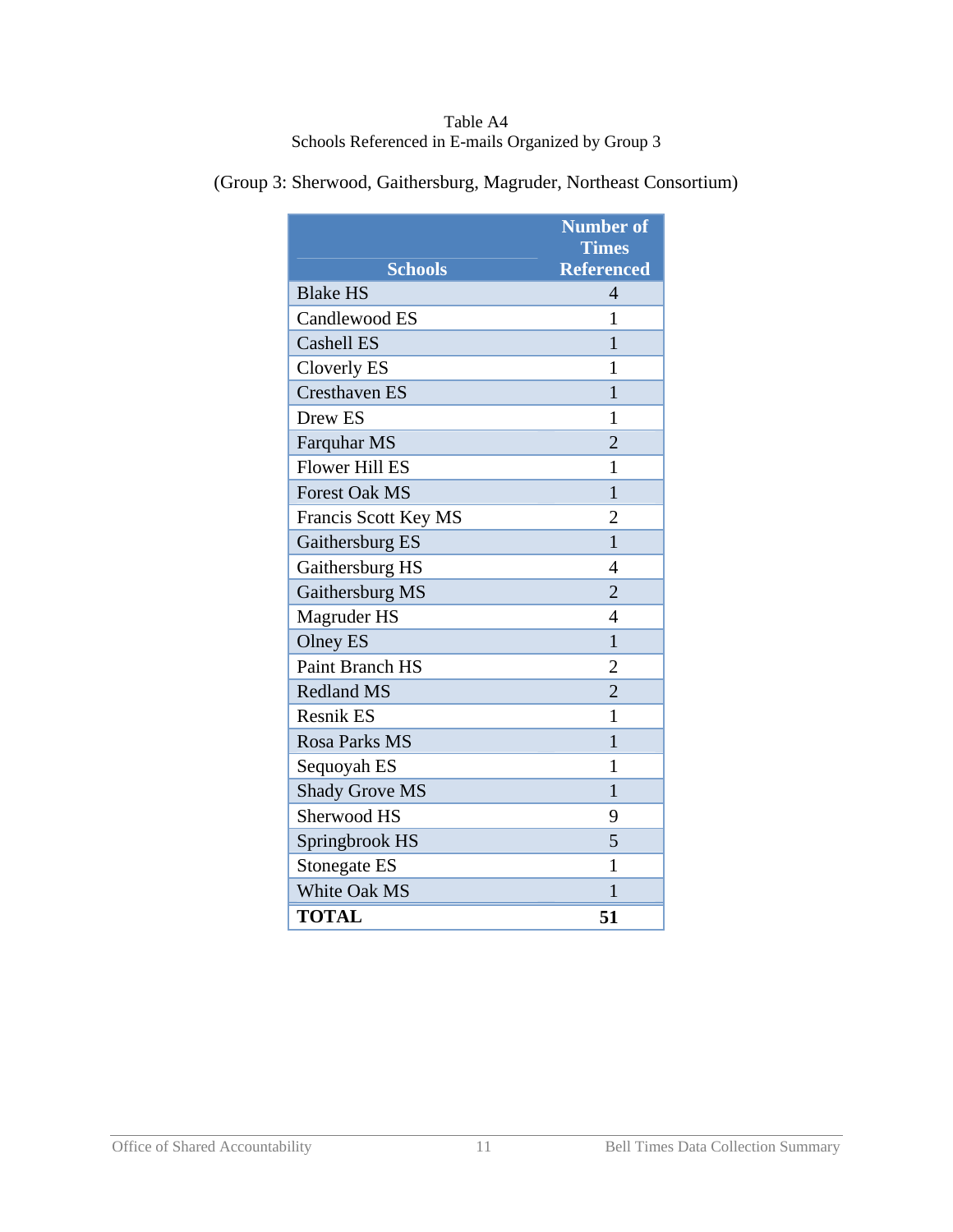#### Table A4 Schools Referenced in E-mails Organized by Group 3

|                       | <b>Number of</b>                  |
|-----------------------|-----------------------------------|
| <b>Schools</b>        | <b>Times</b><br><b>Referenced</b> |
| <b>Blake HS</b>       | $\overline{4}$                    |
| Candlewood ES         | 1                                 |
| <b>Cashell ES</b>     | 1                                 |
| Cloverly ES           | 1                                 |
| <b>Cresthaven ES</b>  | $\mathbf{1}$                      |
| Drew ES               | 1                                 |
| Farquhar MS           | $\overline{2}$                    |
| <b>Flower Hill ES</b> | 1                                 |
| <b>Forest Oak MS</b>  | $\mathbf{1}$                      |
| Francis Scott Key MS  | 2                                 |
| Gaithersburg ES       | $\mathbf{1}$                      |
| Gaithersburg HS       | 4                                 |
| Gaithersburg MS       | $\overline{2}$                    |
| Magruder HS           | 4                                 |
| <b>Olney ES</b>       | $\mathbf{1}$                      |
| Paint Branch HS       | $\overline{2}$                    |
| <b>Redland MS</b>     | $\overline{2}$                    |
| <b>Resnik ES</b>      | 1                                 |
| Rosa Parks MS         | 1                                 |
| Sequoyah ES           | 1                                 |
| <b>Shady Grove MS</b> | $\mathbf{1}$                      |
| Sherwood HS           | 9                                 |
| Springbrook HS        | 5                                 |
| <b>Stonegate ES</b>   | $\mathbf{1}$                      |
| White Oak MS          | 1                                 |
| <b>TOTAL</b>          | 51                                |

(Group 3: Sherwood, Gaithersburg, Magruder, Northeast Consortium)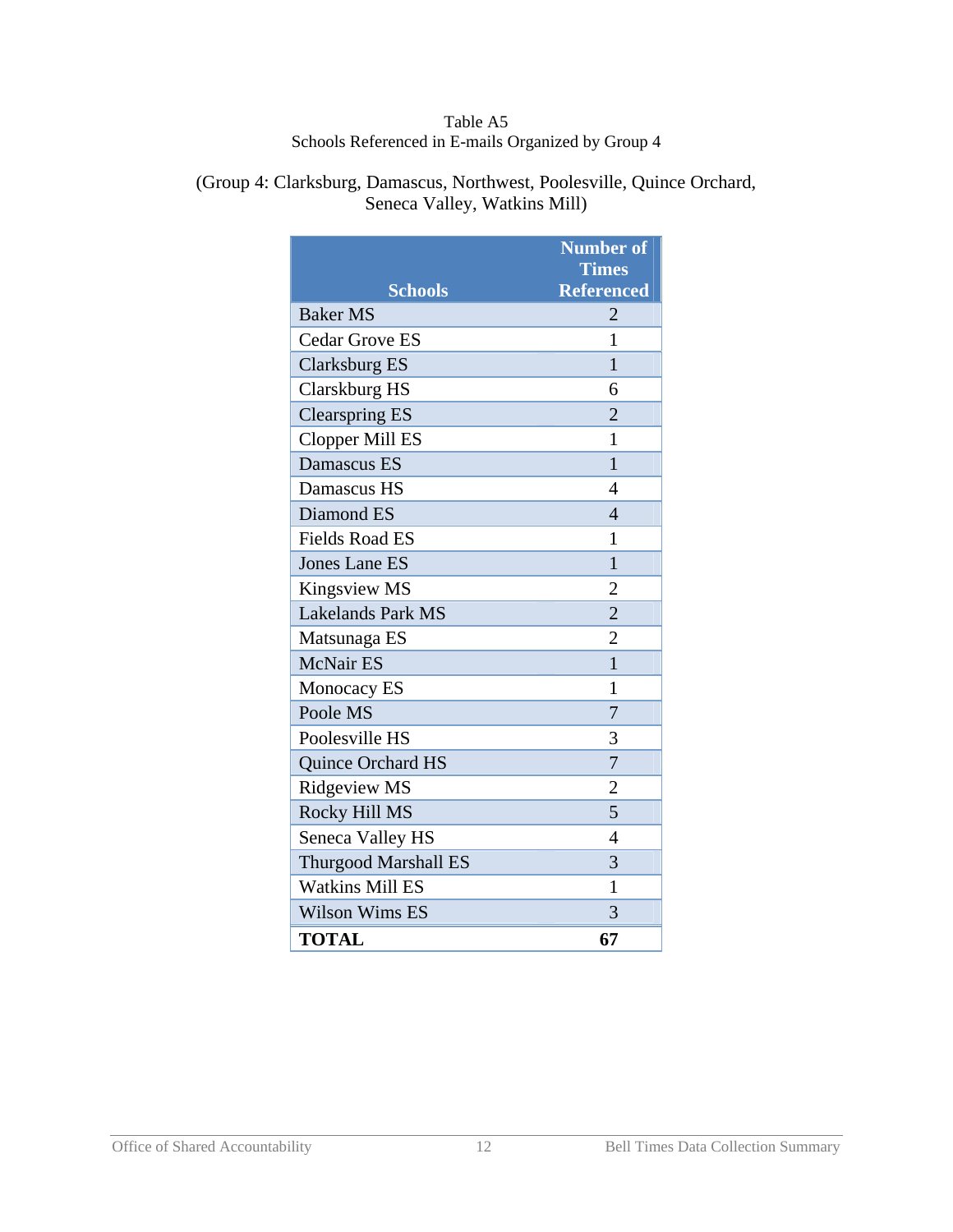#### Table A5 Schools Referenced in E-mails Organized by Group 4

(Group 4: Clarksburg, Damascus, Northwest, Poolesville, Quince Orchard, Seneca Valley, Watkins Mill)

|                             | <b>Number of</b><br><b>Times</b> |
|-----------------------------|----------------------------------|
| <b>Schools</b>              | <b>Referenced</b>                |
| <b>Baker MS</b>             | 2                                |
| <b>Cedar Grove ES</b>       | 1                                |
| <b>Clarksburg ES</b>        | 1                                |
| Clarskburg HS               | 6                                |
| <b>Clearspring ES</b>       | $\overline{2}$                   |
| <b>Clopper Mill ES</b>      | 1                                |
| Damascus ES                 | $\mathbf{1}$                     |
| Damascus HS                 | 4                                |
| Diamond ES                  | $\overline{4}$                   |
| <b>Fields Road ES</b>       | 1                                |
| <b>Jones Lane ES</b>        | $\mathbf{1}$                     |
| Kingsview MS                | $\overline{2}$                   |
| <b>Lakelands Park MS</b>    | $\overline{2}$                   |
| Matsunaga ES                | $\overline{2}$                   |
| <b>McNair ES</b>            | 1                                |
| Monocacy ES                 | 1                                |
| Poole MS                    | 7                                |
| Poolesville HS              | 3                                |
| Quince Orchard HS           | $\overline{7}$                   |
| Ridgeview MS                | $\overline{2}$                   |
| Rocky Hill MS               | 5                                |
| Seneca Valley HS            | 4                                |
| <b>Thurgood Marshall ES</b> | 3                                |
| <b>Watkins Mill ES</b>      | 1                                |
| <b>Wilson Wims ES</b>       | 3                                |
| <b>TOTAL</b>                | 67                               |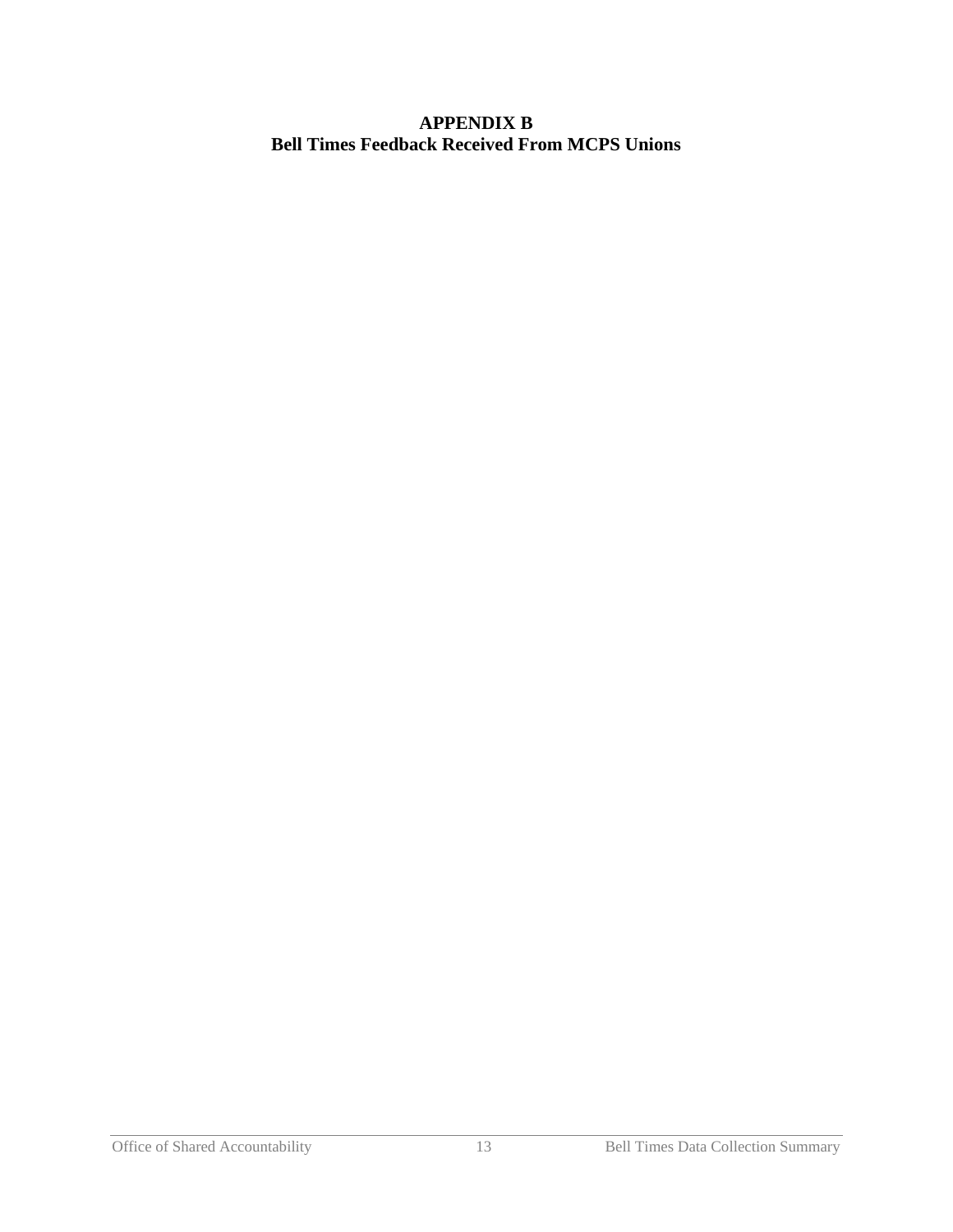#### **APPENDIX B Bell Times Feedback Received From MCPS Unions**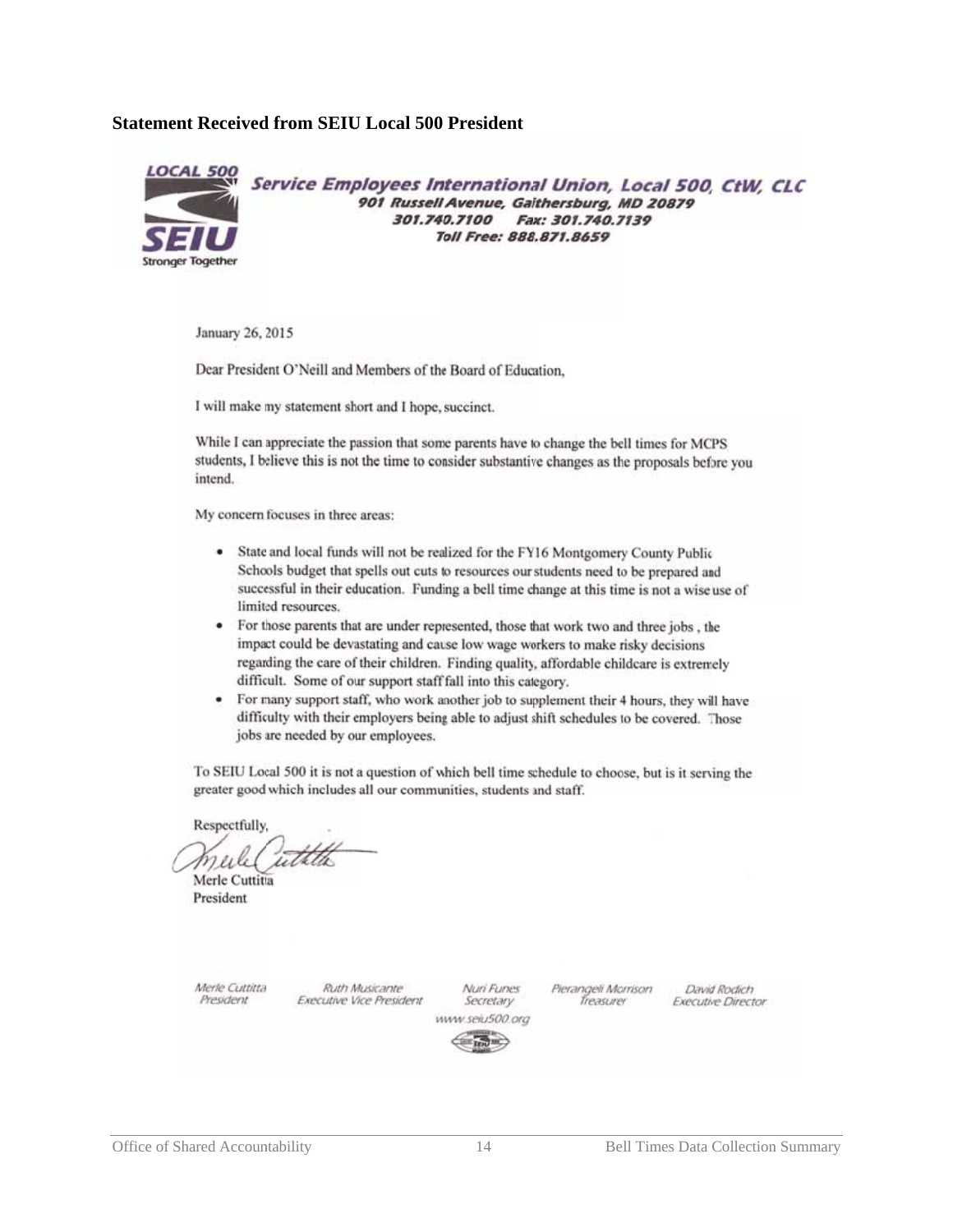#### **Statemen t Received from SEIU Local 500 President**



Service Employees International Union, Local 500, CtW, CLC 901 Russell Avenue, Gaithersburg, MD 20879 301.740.7100 Fax: 301.740.7139 Toll Free: 888.871.8659

January 26, 2015

Dear President O'Neill and Members of the Board of Education.

I will make my statement short and I hope, succinct.

While I can appreciate the passion that some parents have to change the bell times for MCPS students, I believe this is not the time to consider substantive changes as the proposals before you intend.

My concern focuses in three areas:

- ٠ State and local funds will not be realized for the FY16 Montgomery County Public Schools budget that spells out cuts to resources our students need to be prepared and successful in their education. Funding a bell time change at this time is not a wise use of limited resources.
- For those parents that are under represented, those that work two and three jobs, the impact could be devastating and cause low wage workers to make risky decisions regarding the care of their children. Finding quality, affordable childcare is extremely difficult. Some of our support staff fall into this category.
- For many support staff, who work another job to supplement their 4 hours, they will have difficulty with their employers being able to adjust shift schedules to be covered. Those jobs are needed by our employees.

To SEIU Local 500 it is not a question of which bell time schedule to choose, but is it serving the greater good which includes all our communities, students and staff.

Respectfully

TU. v

Merle Cuttitta President

Merle Cuttitta President

Ruth Musicante **Executive Vice President** 

Nuri Funes Secretary www.seiu500.org Pierangeli Morrison Treasurer

David Rodich **Executive Director** 

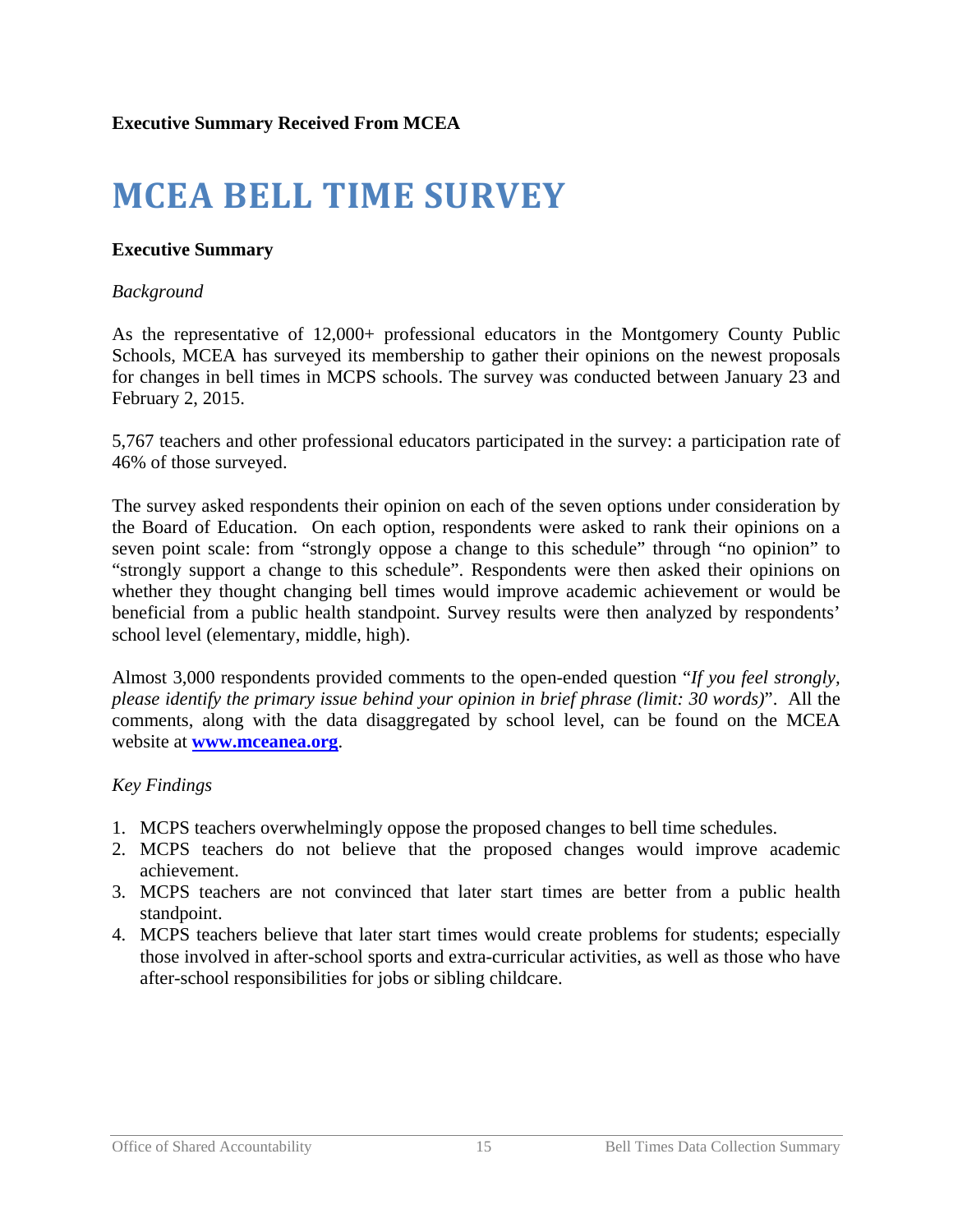# **MCEA BELL TIME SURVEY**

#### **Executive Summary**

#### *Background*

As the representative of 12,000+ professional educators in the Montgomery County Public Schools, MCEA has surveyed its membership to gather their opinions on the newest proposals for changes in bell times in MCPS schools. The survey was conducted between January 23 and February 2, 2015.

5,767 teachers and other professional educators participated in the survey: a participation rate of 46% of those surveyed.

The survey asked respondents their opinion on each of the seven options under consideration by the Board of Education. On each option, respondents were asked to rank their opinions on a seven point scale: from "strongly oppose a change to this schedule" through "no opinion" to "strongly support a change to this schedule". Respondents were then asked their opinions on whether they thought changing bell times would improve academic achievement or would be beneficial from a public health standpoint. Survey results were then analyzed by respondents' school level (elementary, middle, high).

Almost 3,000 respondents provided comments to the open-ended question "*If you feel strongly, please identify the primary issue behind your opinion in brief phrase (limit: 30 words)*". All the comments, along with the data disaggregated by school level, can be found on the MCEA website at **[www.mceanea.org](http://mceanea.org/mcea-bell-time-survey-results/)**.

#### *Key Findings*

- 1. MCPS teachers overwhelmingly oppose the proposed changes to bell time schedules.
- 2. MCPS teachers do not believe that the proposed changes would improve academic achievement.
- 3. MCPS teachers are not convinced that later start times are better from a public health standpoint.
- 4. MCPS teachers believe that later start times would create problems for students; especially those involved in after-school sports and extra-curricular activities, as well as those who have after-school responsibilities for jobs or sibling childcare.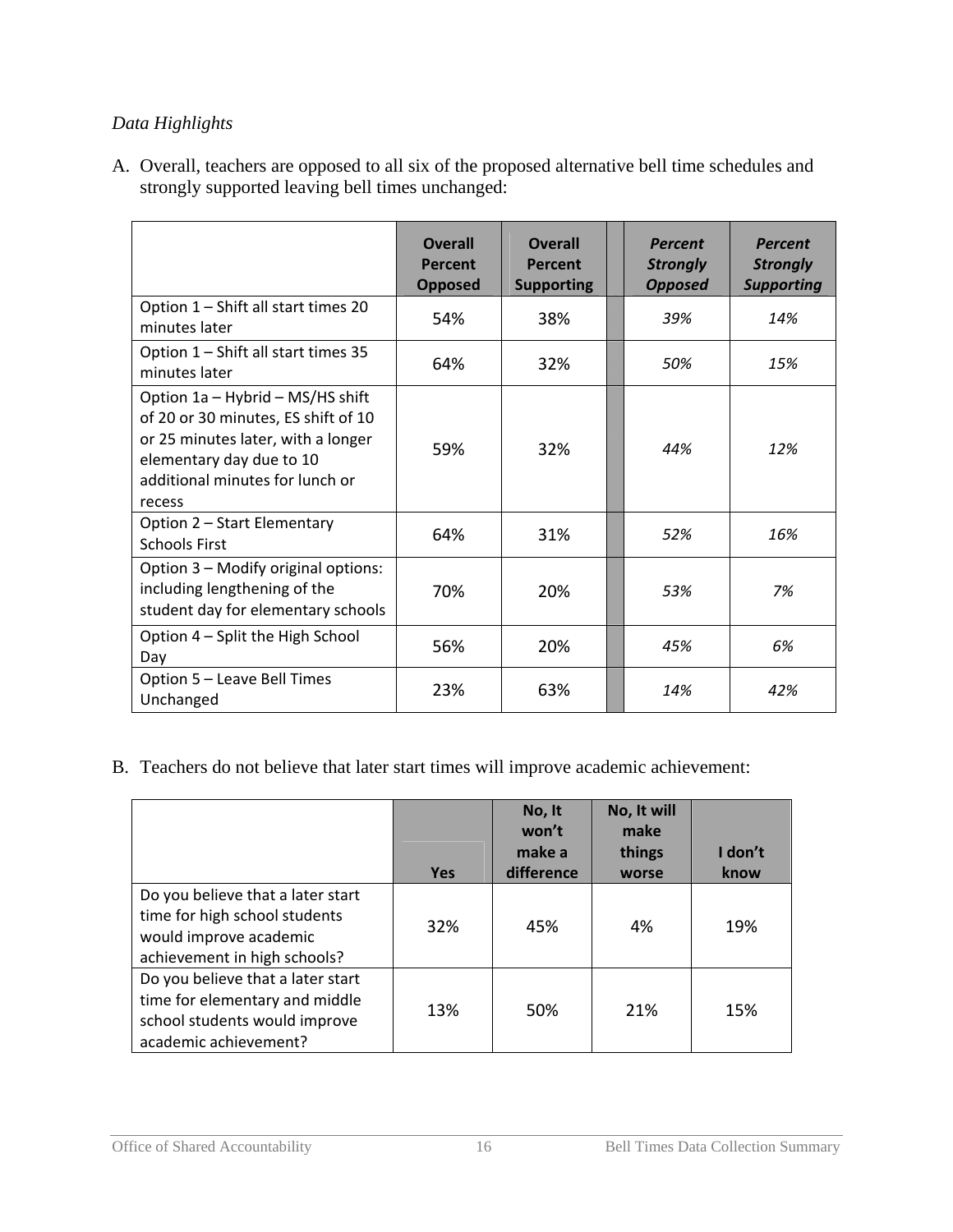### *Data Highlights*

A. Overall, teachers are opposed to all six of the proposed alternative bell time schedules and strongly supported leaving bell times unchanged:

|                                                                                                                                                                                        | <b>Overall</b><br>Percent<br><b>Opposed</b> | <b>Overall</b><br>Percent<br><b>Supporting</b> | <b>Percent</b><br><b>Strongly</b><br><b>Opposed</b> | <b>Percent</b><br><b>Strongly</b><br><b>Supporting</b> |
|----------------------------------------------------------------------------------------------------------------------------------------------------------------------------------------|---------------------------------------------|------------------------------------------------|-----------------------------------------------------|--------------------------------------------------------|
| Option 1 - Shift all start times 20<br>minutes later                                                                                                                                   | 54%                                         | 38%                                            | 39%                                                 | 14%                                                    |
| Option 1 - Shift all start times 35<br>minutes later                                                                                                                                   | 64%                                         | 32%                                            | 50%                                                 | 15%                                                    |
| Option 1a - Hybrid - MS/HS shift<br>of 20 or 30 minutes, ES shift of 10<br>or 25 minutes later, with a longer<br>elementary day due to 10<br>additional minutes for lunch or<br>recess | 59%                                         | 32%                                            | 44%                                                 | 12%                                                    |
| Option 2 - Start Elementary<br><b>Schools First</b>                                                                                                                                    | 64%                                         | 31%                                            | 52%                                                 | 16%                                                    |
| Option 3 - Modify original options:<br>including lengthening of the<br>student day for elementary schools                                                                              | 70%                                         | 20%                                            | 53%                                                 | 7%                                                     |
| Option 4 - Split the High School<br>Day                                                                                                                                                | 56%                                         | 20%                                            | 45%                                                 | 6%                                                     |
| Option 5 - Leave Bell Times<br>Unchanged                                                                                                                                               | 23%                                         | 63%                                            | 14%                                                 | 42%                                                    |

B. Teachers do not believe that later start times will improve academic achievement:

|                                                                                                                               |            | No, It<br>won't<br>make a | No, It will<br>make<br>things | I don't |
|-------------------------------------------------------------------------------------------------------------------------------|------------|---------------------------|-------------------------------|---------|
|                                                                                                                               | <b>Yes</b> | difference                | worse                         | know    |
| Do you believe that a later start<br>time for high school students<br>would improve academic<br>achievement in high schools?  | 32%        | 45%                       | 4%                            | 19%     |
| Do you believe that a later start<br>time for elementary and middle<br>school students would improve<br>academic achievement? | 13%        | 50%                       | 21%                           | 15%     |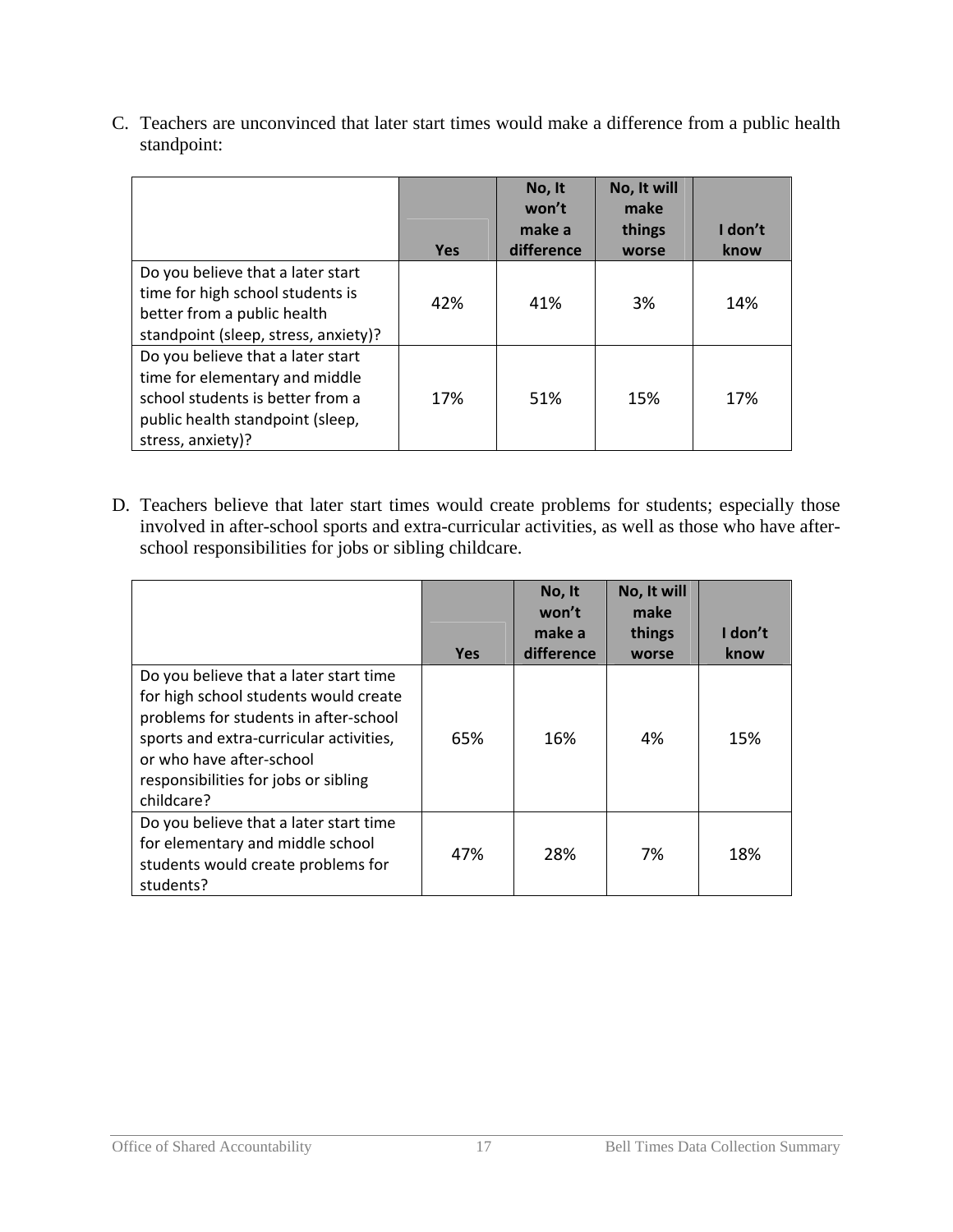C. Teachers are unconvinced that later start times would make a difference from a public health standpoint:

|                                                                                                                                                                  | <b>Yes</b> | No, It<br>won't<br>make a<br>difference | No, It will<br>make<br>things<br>worse | I don't<br>know |
|------------------------------------------------------------------------------------------------------------------------------------------------------------------|------------|-----------------------------------------|----------------------------------------|-----------------|
| Do you believe that a later start<br>time for high school students is<br>better from a public health<br>standpoint (sleep, stress, anxiety)?                     | 42%        | 41%                                     | 3%                                     | 14%             |
| Do you believe that a later start<br>time for elementary and middle<br>school students is better from a<br>public health standpoint (sleep,<br>stress, anxiety)? | 17%        | 51%                                     | 15%                                    | 17%             |

D. Teachers believe that later start times would create problems for students; especially those involved in after-school sports and extra-curricular activities, as well as those who have afterschool responsibilities for jobs or sibling childcare.

|                                                                                                                                                                                                                                                       | <b>Yes</b> | No, It<br>won't<br>make a<br>difference | No, It will<br>make<br>things<br>worse | I don't<br>know |
|-------------------------------------------------------------------------------------------------------------------------------------------------------------------------------------------------------------------------------------------------------|------------|-----------------------------------------|----------------------------------------|-----------------|
| Do you believe that a later start time<br>for high school students would create<br>problems for students in after-school<br>sports and extra-curricular activities,<br>or who have after-school<br>responsibilities for jobs or sibling<br>childcare? | 65%        | 16%                                     | 4%                                     | 15%             |
| Do you believe that a later start time<br>for elementary and middle school<br>students would create problems for<br>students?                                                                                                                         | 47%        | 28%                                     | 7%                                     | 18%             |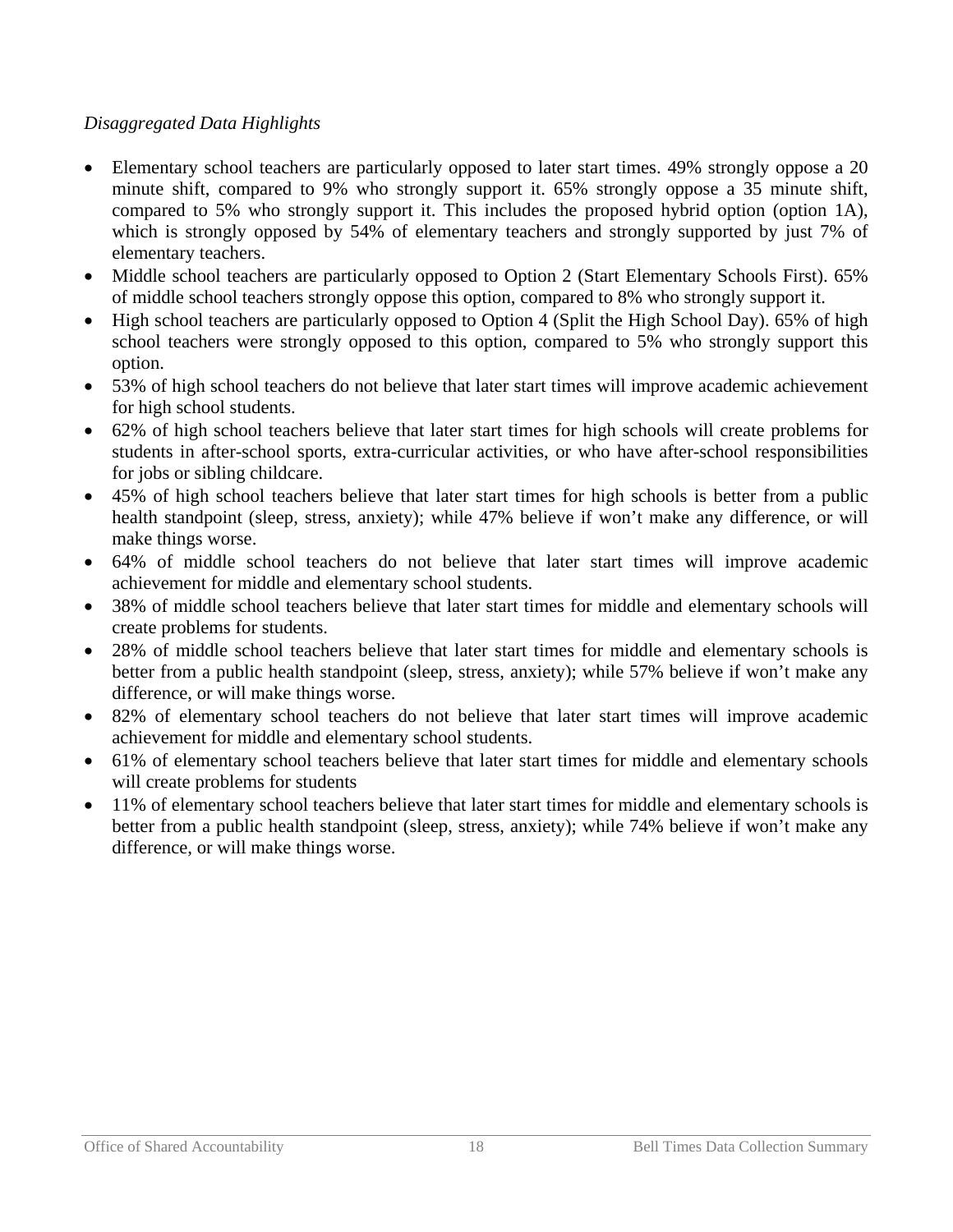### *Disaggregated Data Highlights*

- Elementary school teachers are particularly opposed to later start times. 49% strongly oppose a 20 minute shift, compared to 9% who strongly support it. 65% strongly oppose a 35 minute shift, compared to 5% who strongly support it. This includes the proposed hybrid option (option 1A), which is strongly opposed by 54% of elementary teachers and strongly supported by just 7% of elementary teachers.
- Middle school teachers are particularly opposed to Option 2 (Start Elementary Schools First). 65% of middle school teachers strongly oppose this option, compared to 8% who strongly support it.
- High school teachers are particularly opposed to Option 4 (Split the High School Day). 65% of high school teachers were strongly opposed to this option, compared to 5% who strongly support this option.
- 53% of high school teachers do not believe that later start times will improve academic achievement for high school students.
- 62% of high school teachers believe that later start times for high schools will create problems for students in after-school sports, extra-curricular activities, or who have after-school responsibilities for jobs or sibling childcare.
- 45% of high school teachers believe that later start times for high schools is better from a public health standpoint (sleep, stress, anxiety); while 47% believe if won't make any difference, or will make things worse.
- 64% of middle school teachers do not believe that later start times will improve academic achievement for middle and elementary school students.
- 38% of middle school teachers believe that later start times for middle and elementary schools will create problems for students.
- 28% of middle school teachers believe that later start times for middle and elementary schools is better from a public health standpoint (sleep, stress, anxiety); while 57% believe if won't make any difference, or will make things worse.
- 82% of elementary school teachers do not believe that later start times will improve academic achievement for middle and elementary school students.
- 61% of elementary school teachers believe that later start times for middle and elementary schools will create problems for students
- 11% of elementary school teachers believe that later start times for middle and elementary schools is better from a public health standpoint (sleep, stress, anxiety); while 74% believe if won't make any difference, or will make things worse.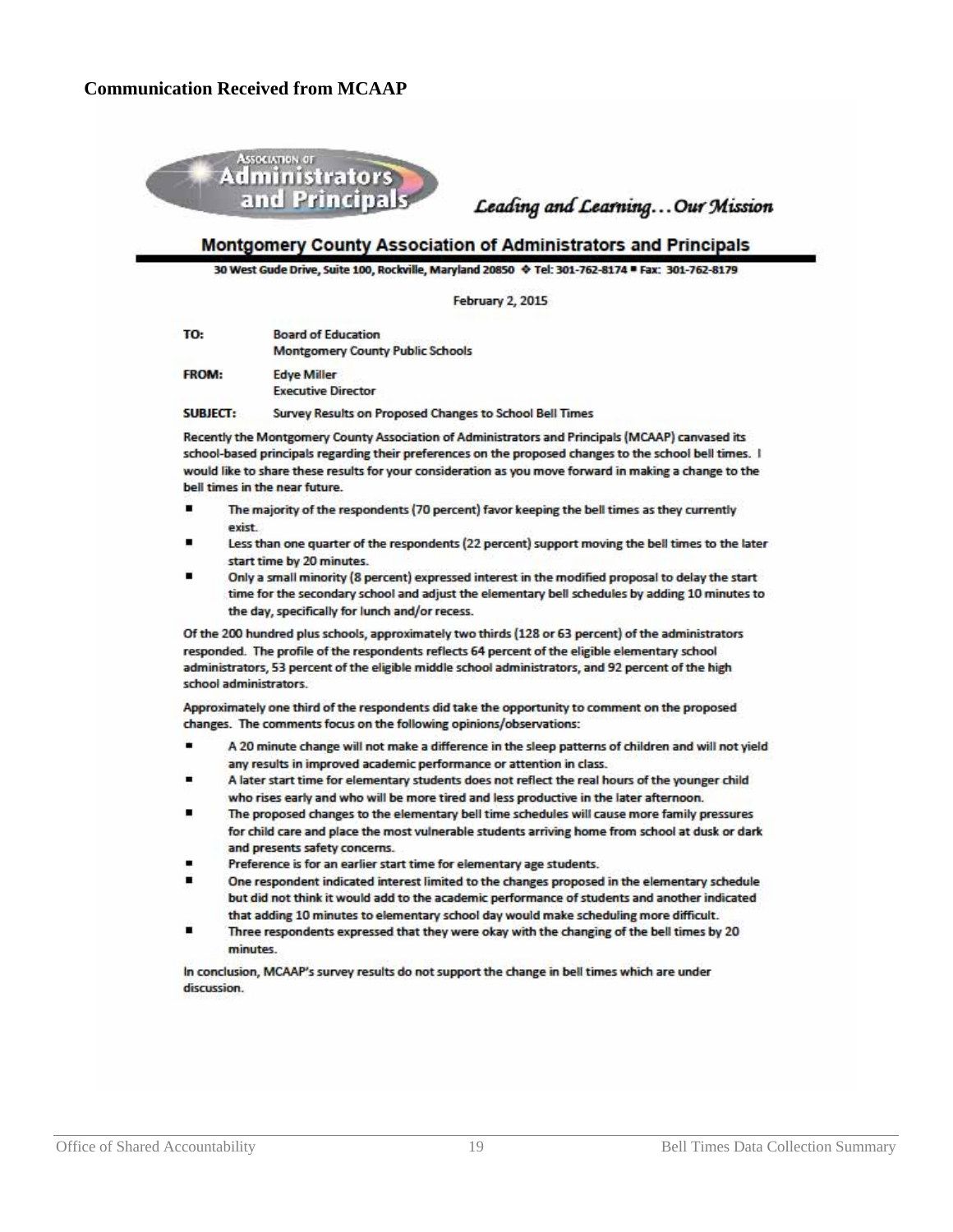

Leading and Learning... Our Mission

#### Montgomery County Association of Administrators and Principals

30 West Gude Drive, Suite 100, Rockville, Maryland 20850  $\blacklozenge$  Tel: 301-762-8174 = Fax: 301-762-8179

**February 2, 2015** 

| TO:          | <b>Board of Education</b><br><b>Montgomery County Public Schools</b> |
|--------------|----------------------------------------------------------------------|
| <b>FROM:</b> | <b>Edye Miller</b>                                                   |
|              | <b>Executive Director</b>                                            |
|              |                                                                      |

**SURIECT:** Survey Results on Proposed Changes to School Bell Times

Recently the Montgomery County Association of Administrators and Principals (MCAAP) canvased its school-based principals regarding their preferences on the proposed changes to the school bell times. I would like to share these results for your consideration as you move forward in making a change to the bell times in the near future.

- The majority of the respondents (70 percent) favor keeping the bell times as they currently exist
- Less than one quarter of the respondents (22 percent) support moving the bell times to the later start time by 20 minutes.
- Only a small minority (8 percent) expressed interest in the modified proposal to delay the start time for the secondary school and adjust the elementary bell schedules by adding 10 minutes to the day, specifically for lunch and/or recess.

Of the 200 hundred plus schools, approximately two thirds (128 or 63 percent) of the administrators responded. The profile of the respondents reflects 64 percent of the eligible elementary school administrators, 53 percent of the eligible middle school administrators, and 92 percent of the high school administrators

Approximately one third of the respondents did take the opportunity to comment on the proposed changes. The comments focus on the following opinions/observations:

- A 20 minute change will not make a difference in the sleep patterns of children and will not yield any results in improved academic performance or attention in class.
- A later start time for elementary students does not reflect the real hours of the younger child who rises early and who will be more tired and less productive in the later afternoon.
- The proposed changes to the elementary bell time schedules will cause more family pressures for child care and place the most vulnerable students arriving home from school at dusk or dark and presents safety concerns.
- Preference is for an earlier start time for elementary age students.
- One respondent indicated interest limited to the changes proposed in the elementary schedule but did not think it would add to the academic performance of students and another indicated that adding 10 minutes to elementary school day would make scheduling more difficult.
- Three respondents expressed that they were okay with the changing of the bell times by 20 *minutes*

In conclusion, MCAAP's survey results do not support the change in bell times which are under discussion.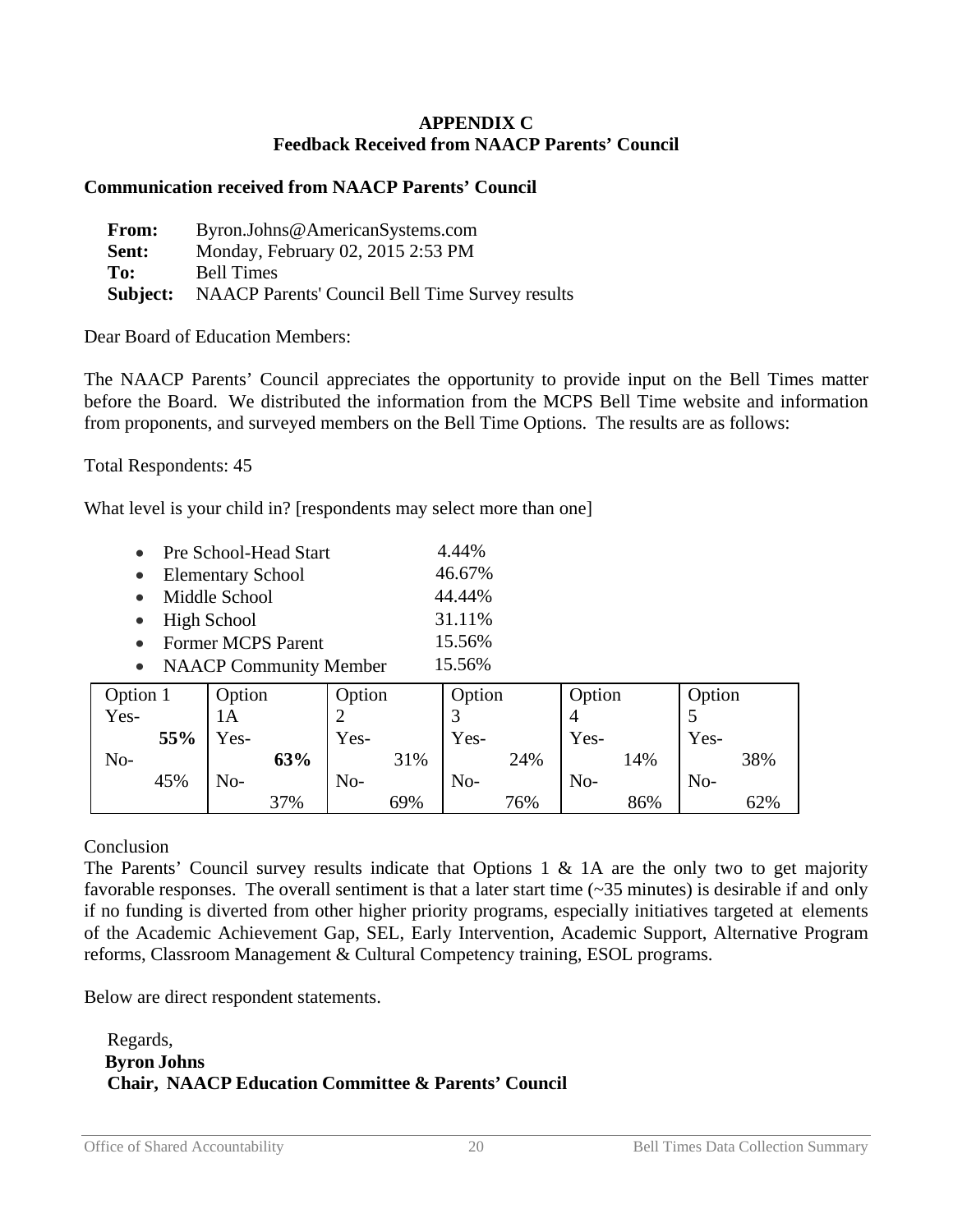#### **APPENDIX C Feedback Received from NAACP Parents' Council**

#### **Communication received from NAACP Parents' Council**

| <b>From:</b> | Byron.Johns@AmericanSystems.com                                 |
|--------------|-----------------------------------------------------------------|
| Sent:        | Monday, February 02, 2015 2:53 PM                               |
| To:          | <b>Bell Times</b>                                               |
|              | <b>Subject:</b> NAACP Parents' Council Bell Time Survey results |

Dear Board of Education Members:

The NAACP Parents' Council appreciates the opportunity to provide input on the Bell Times matter before the Board. We distributed the information from the MCPS Bell Time website and information from proponents, and surveyed members on the Bell Time Options. The results are as follows:

Total Respondents: 45

What level is your child in? [respondents may select more than one]

|           | Pre School-Head Start         | 4.44%  |
|-----------|-------------------------------|--------|
| $\bullet$ | <b>Elementary School</b>      | 46.67% |
| $\bullet$ | Middle School                 | 44.44% |
|           | $\bullet$ High School         | 31.11% |
|           | <b>Former MCPS Parent</b>     | 15.56% |
|           | <b>NAACP Community Member</b> | 15.56% |

| Option 1 |     | Option   |     | Option |     | Option |     | Option |     | Option |     |
|----------|-----|----------|-----|--------|-----|--------|-----|--------|-----|--------|-----|
| Yes-     |     | 1А       |     | ↩      |     |        |     |        |     |        |     |
|          | 55% | $v_{es}$ |     | Yes-   |     | Yes-   |     | Yes-   |     | Yes-   |     |
| No-      |     |          | 63% |        | 31% |        | 24% |        | 14% |        | 38% |
|          | 45% | $No-$    |     | No-    |     | No-    |     | No-    |     | No-    |     |
|          |     |          | 37% |        | 69% |        | 76% |        | 86% |        | 62% |

Conclusion

The Parents' Council survey results indicate that Options 1  $\&$  1A are the only two to get majority favorable responses. The overall sentiment is that a later start time (~35 minutes) is desirable if and only if no funding is diverted from other higher priority programs, especially initiatives targeted at elements of the Academic Achievement Gap, SEL, Early Intervention, Academic Support, Alternative Program reforms, Classroom Management & Cultural Competency training, ESOL programs.

Below are direct respondent statements.

#### Regards, **Byron Johns Chair, NAACP Education Committee & Parents' Council**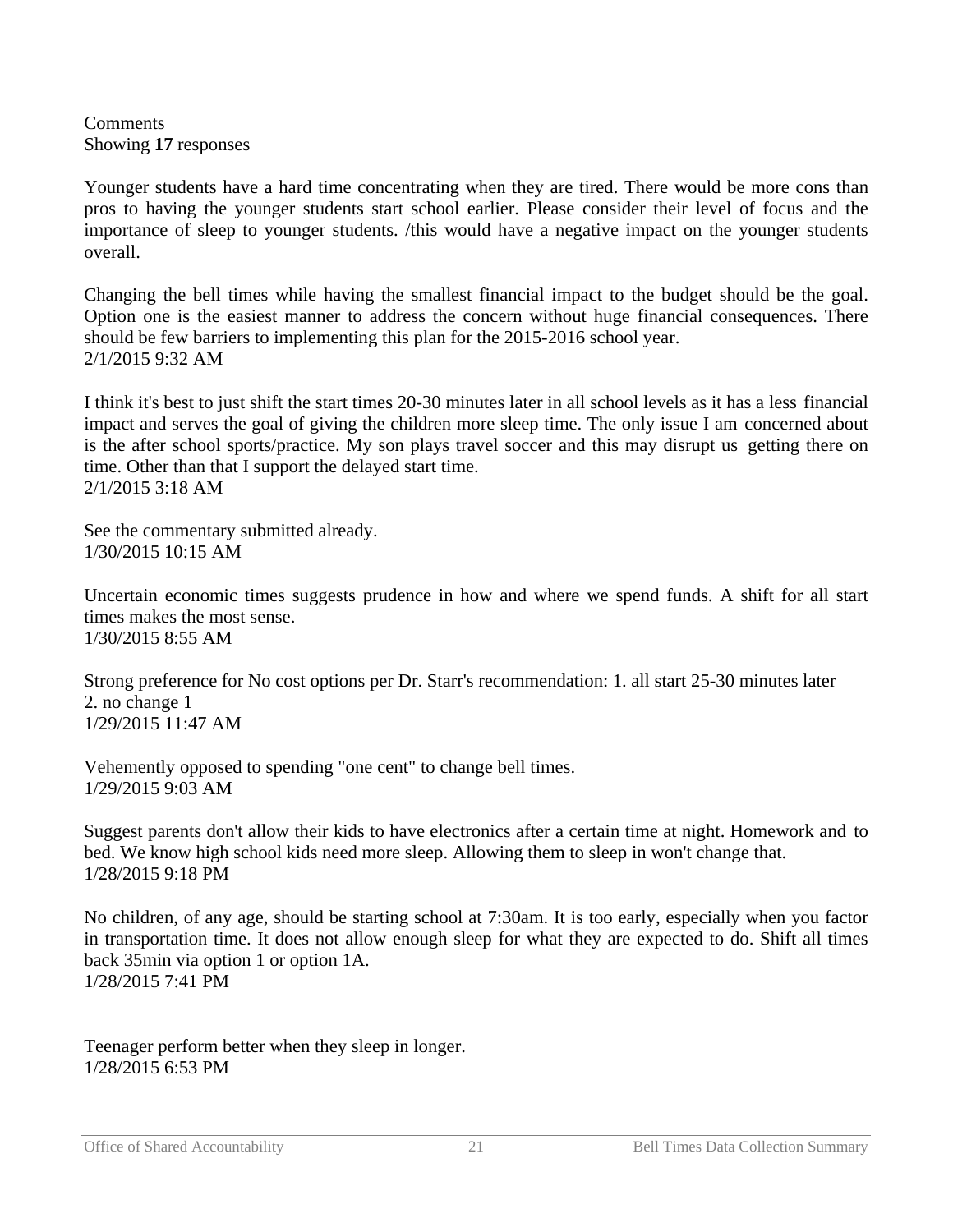**Comments** Showing **17** responses

Younger students have a hard time concentrating when they are tired. There would be more cons than pros to having the younger students start school earlier. Please consider their level of focus and the importance of sleep to younger students. /this would have a negative impact on the younger students overall.

Changing the bell times while having the smallest financial impact to the budget should be the goal. Option one is the easiest manner to address the concern without huge financial consequences. There should be few barriers to implementing this plan for the 2015-2016 school year. 2/1/2015 9:32 AM

I think it's best to just shift the start times 20-30 minutes later in all school levels as it has a less financial impact and serves the goal of giving the children more sleep time. The only issue I am concerned about is the after school sports/practice. My son plays travel soccer and this may disrupt us getting there on time. Other than that I support the delayed start time. 2/1/2015 3:18 AM

See the commentary submitted already. 1/30/2015 10:15 AM

Uncertain economic times suggests prudence in how and where we spend funds. A shift for all start times makes the most sense. 1/30/2015 8:55 AM

Strong preference for No cost options per Dr. Starr's recommendation: 1. all start 25-30 minutes later 2. no change 1 1/29/2015 11:47 AM

Vehemently opposed to spending "one cent" to change bell times. 1/29/2015 9:03 AM

Suggest parents don't allow their kids to have electronics after a certain time at night. Homework and to bed. We know high school kids need more sleep. Allowing them to sleep in won't change that. 1/28/2015 9:18 PM

No children, of any age, should be starting school at 7:30am. It is too early, especially when you factor in transportation time. It does not allow enough sleep for what they are expected to do. Shift all times back 35min via option 1 or option 1A. 1/28/2015 7:41 PM

Teenager perform better when they sleep in longer. 1/28/2015 6:53 PM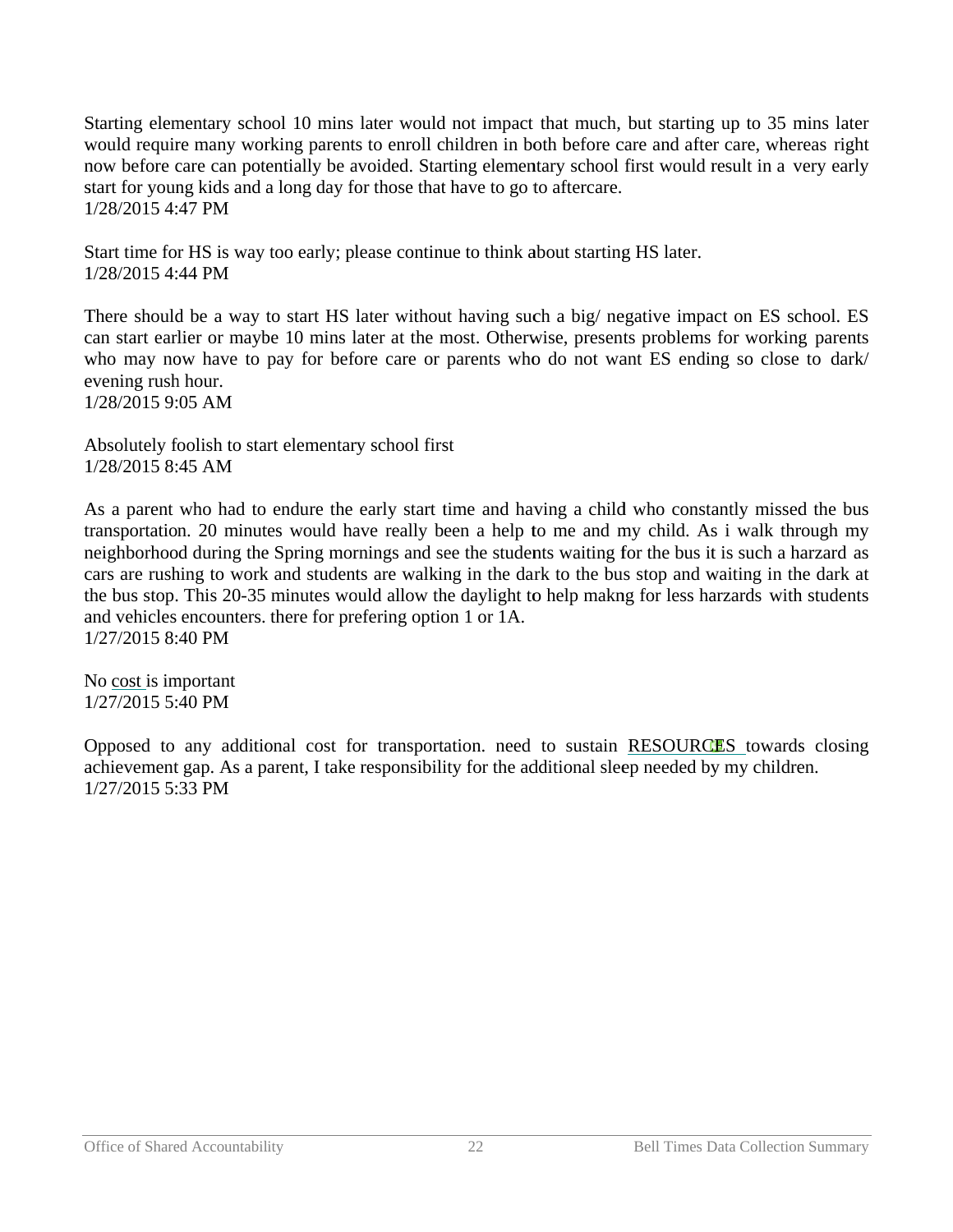Starting elementary school 10 mins later would not impact that much, but starting up to 35 mins later would require many working parents to enroll children in both before care and after care, whereas right now before care can potentially be avoided. Starting elementary school first would result in a very early start for young kids and a long day for those that have to go to aftercare. 1 1/28/2015 4: 47 PM

Start time for HS is way too early; please continue to think about starting HS later. 1 1/28/2015 4: 44 PM

There should be a way to start HS later without having such a big/ negative impact on ES school. ES can start earlier or maybe 10 mins later at the most. Otherwise, presents problems for working parents who may now have to pay for before care or parents who do not want ES ending so close to dark/ evening rush hour. 1 1/28/2015 9: 05 AM

Absolutely foolish to start elementary school first 1 1/28/2015 8: 45 AM

As a parent who had to endure the early start time and having a child who constantly missed the bus transportation. 20 minutes would have really been a help to me and my child. As i walk through my neighborhood during the Spring mornings and see the students waiting for the bus it is such a harzard as cars are rushing to work and students are walking in the dark to the bus stop and waiting in the dark at the bus stop. This 20-35 minutes would allow the daylight to help makng for less harzards with students and vehicles encounters. there for prefering option 1 or 1A. 1 1/27/2015 8: 40 PM

No cost is important 1 1/27/2015 5: 40 PM

Opposed to any additional cost for transportation. need to sustain RESOURCES towards closing achievement gap. As a parent, I take responsibility for the additional sleep needed by my children. 1 1/27/2015 5: 33 PM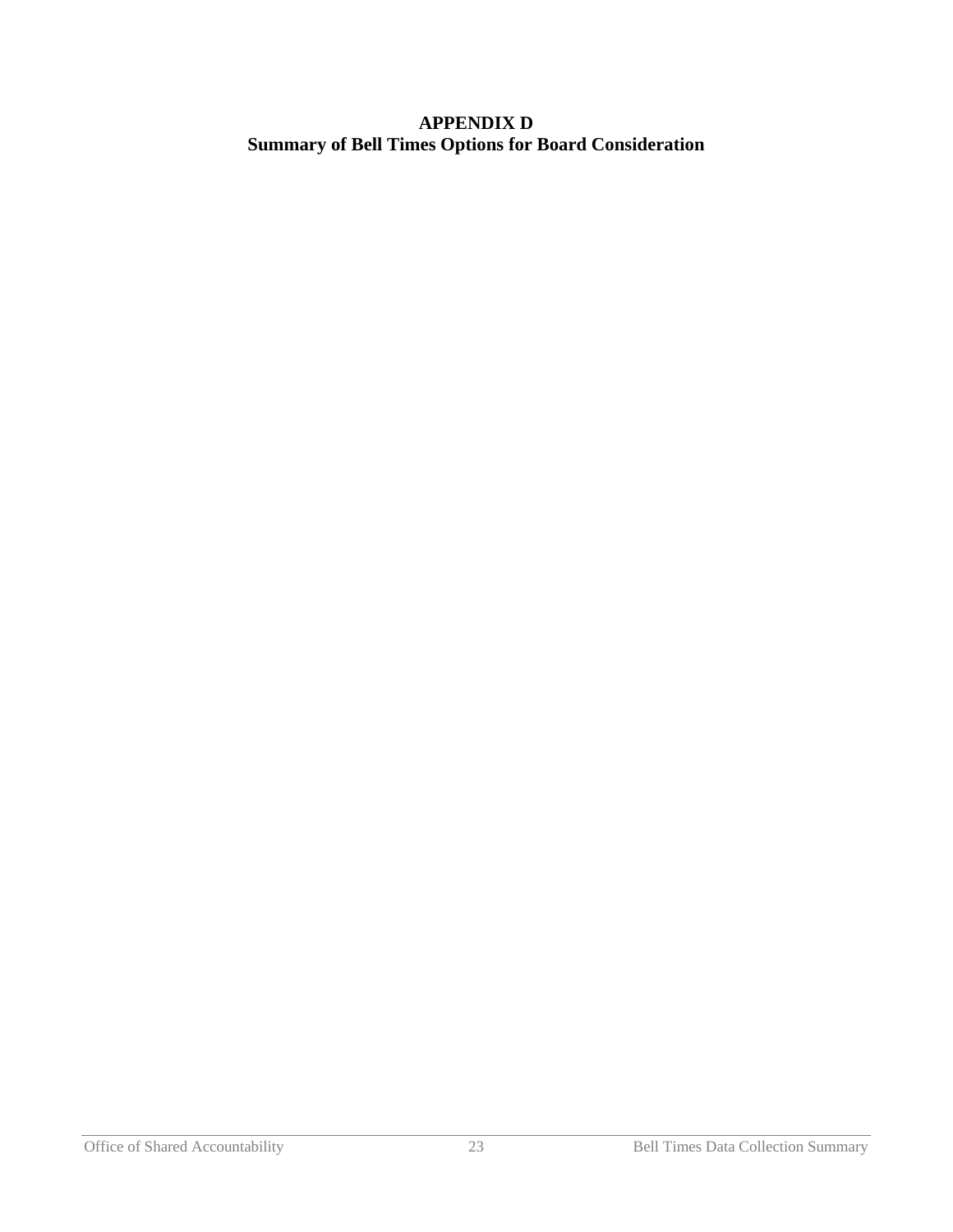## **APPENDIX D Summary of Bell Times Options for Board Consideration**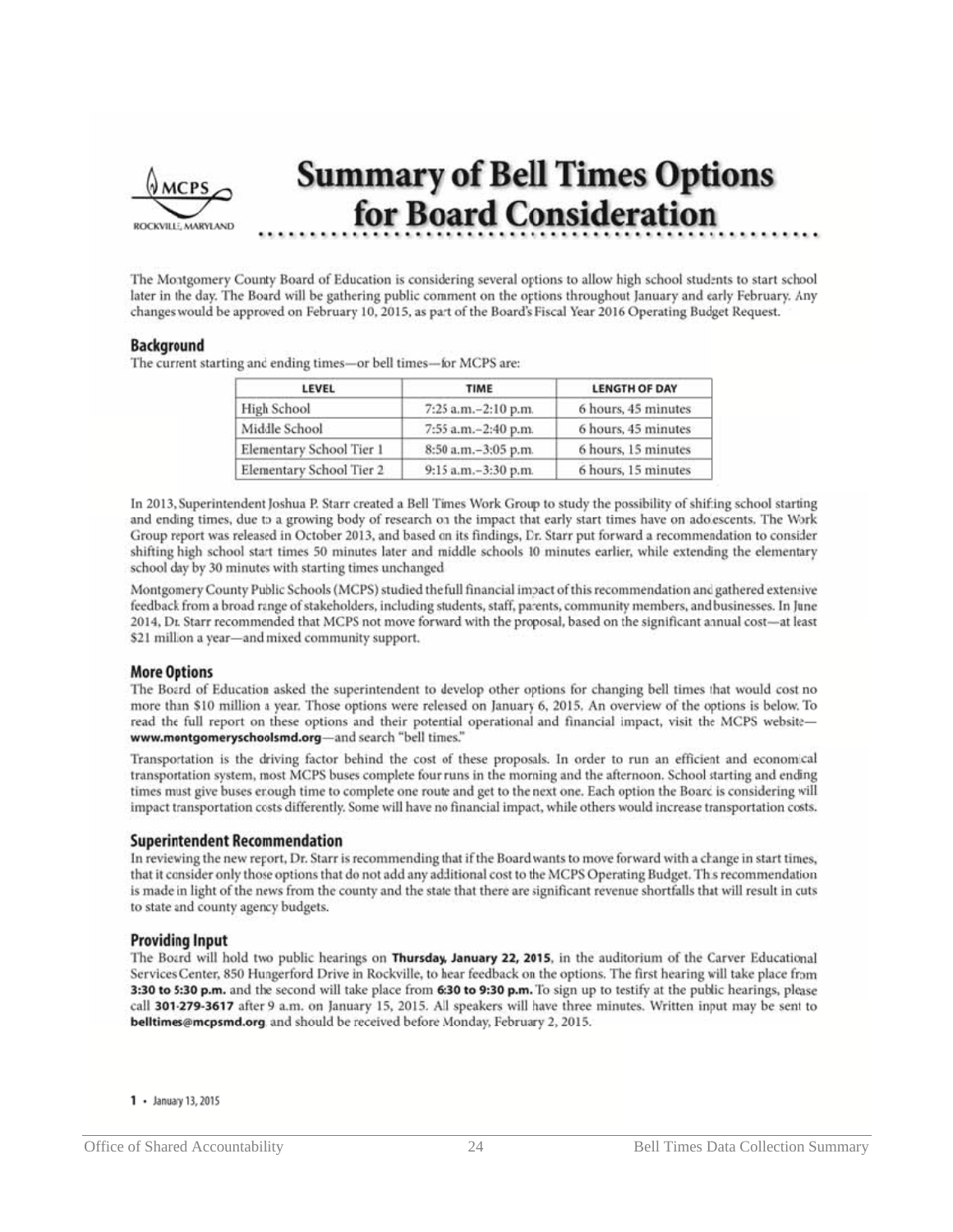

# **Summary of Bell Times Options** for Board Consideration

The Montgomery County Board of Education is considering several options to allow high school students to start school later in the day. The Board will be gathering public comment on the options throughout January and early February. Any changes would be approved on February 10, 2015, as part of the Board's Fiscal Year 2016 Operating Budget Request.

#### **Background**

The current starting and ending times-or bell times-for MCPS are:

| LEVEL                    | <b>TIME</b>           | <b>LENGTH OF DAY</b> |
|--------------------------|-----------------------|----------------------|
| High School              | 7:25 a.m. - 2:10 p.m. | 6 hours, 45 minutes  |
| Middle School            | 7:55 a.m.-2:40 p.m.   | 6 hours, 45 minutes  |
| Elementary School Tier 1 | 8:50 a.m.-3:05 p.m.   | 6 hours, 15 minutes  |
| Elementary School Tier 2 | 9:15 a.m.-3:30 p.m.   | 6 hours, 15 minutes  |

In 2013, Superintendent Joshua P. Starr created a Bell Times Work Group to study the possibility of shifting school starting and ending times, due to a growing body of research on the impact that early start times have on adolescents. The Work Group report was released in October 2013, and based on its findings, Dr. Starr put forward a recommendation to consider shifting high school start times 50 minutes later and middle schools 10 minutes earlier, while extending the elementary school day by 30 minutes with starting times unchanged.

Montgomery County Public Schools (MCPS) studied the full financial impact of this recommendation and gathered extensive feedback from a broad range of stakeholders, including students, staff, parents, community members, and businesses. In June 2014, Dr. Starr recommended that MCPS not move forward with the proposal, based on the significant annual cost-at least \$21 million a year-and mixed community support.

#### **More Options**

The Board of Education asked the superintendent to develop other options for changing bell times that would cost no more than \$10 million a year. Those options were released on January 6, 2015. An overview of the options is below. To read the full report on these options and their potential operational and financial impact, visit the MCPS websitewww.montgomeryschoolsmd.org-and search "bell times."

Transportation is the driving factor behind the cost of these proposals. In order to run an efficient and economical transportation system, most MCPS buses complete four runs in the morning and the afternoon. School starting and ending times must give buses enough time to complete one route and get to the next one. Each option the Board is considering will impact transportation costs differently. Some will have no financial impact, while others would increase transportation costs.

#### **Superintendent Recommendation**

In reviewing the new report, Dr. Starr is recommending that if the Board wants to move forward with a change in start times, that it consider only those options that do not add any additional cost to the MCPS Operating Budget. This recommendation is made in light of the news from the county and the state that there are significant revenue shortfalls that will result in cuts to state and county agency budgets.

#### **Providing Input**

The Board will hold two public hearings on Thursday, January 22, 2015, in the auditorium of the Carver Educational Services Center, 850 Hungerford Drive in Rockville, to hear feedback on the options. The first hearing will take place from 3:30 to 5:30 p.m. and the second will take place from 6:30 to 9:30 p.m. To sign up to testify at the public hearings, please call 301-279-3617 after 9 a.m. on January 15, 2015. All speakers will have three minutes. Written input may be sent to belltimes@mcpsmd.org. and should be received before Monday, February 2, 2015.

 $1 -$  January 13, 2015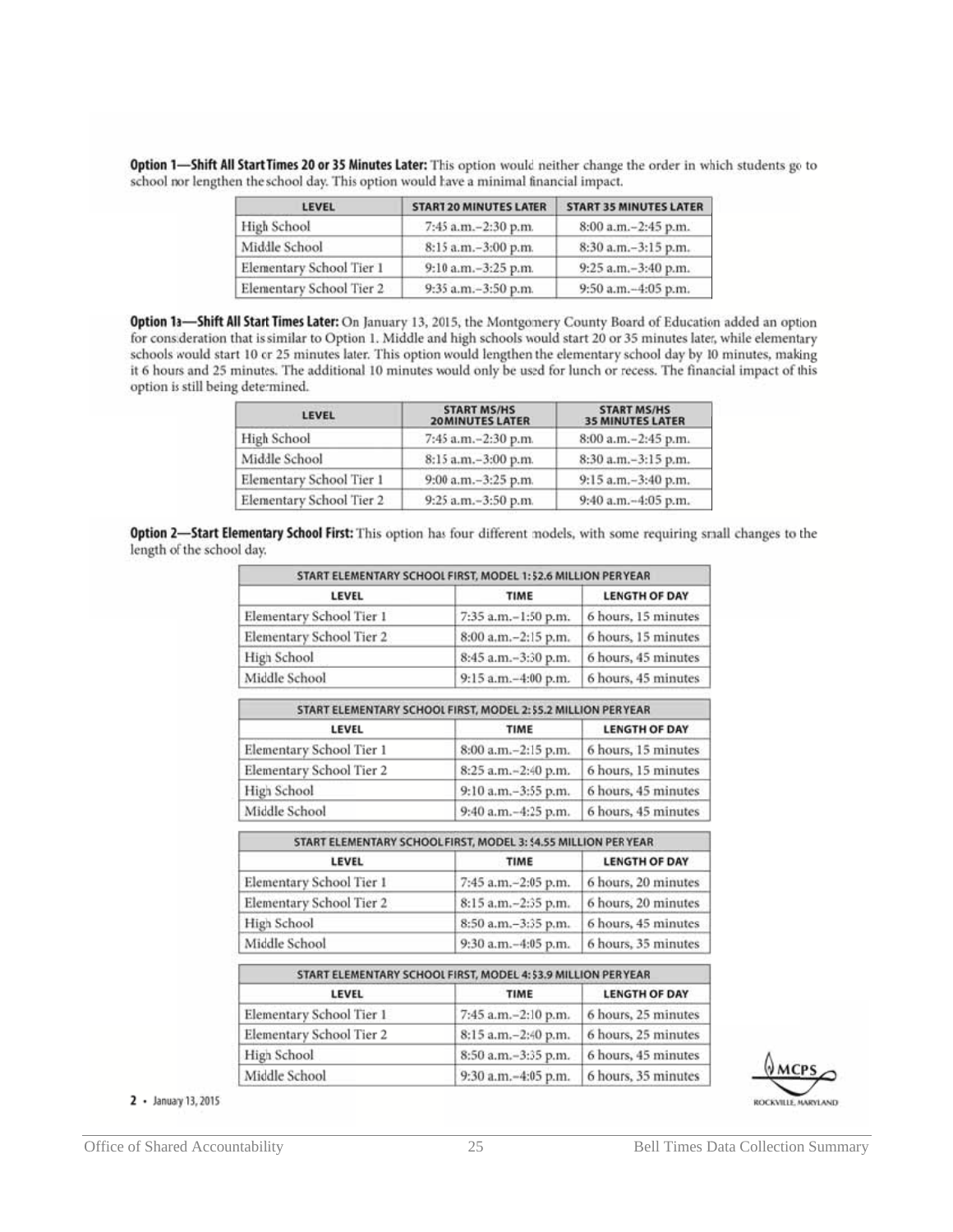| LEVEL                    | <b>START 20 MINUTES LATER</b> | <b>START 35 MINUTES LATER</b> |
|--------------------------|-------------------------------|-------------------------------|
| High School              | 7:45 a.m. - 2:30 p.m.         | 8:00 a.m. - 2:45 p.m.         |
| Middle School            | 8:15 a.m.-3:00 p.m.           | 8:30 a.m.-3:15 p.m.           |
| Elementary School Tier 1 | 9:10 a.m.-3:25 p.m.           | 9:25 a.m.-3:40 p.m.           |
| Elementary School Tier 2 | 9:35 a.m.-3:50 p.m.           | 9:50 a.m.-4:05 p.m.           |

Option 1-Shift All Start Times 20 or 35 Ninutes Later: This option would neither change the order in which students go to school nor lengthen the school day. This option would have a minimal financial impact.

Option 1a-Shift All Start Times Later: On January 13, 2015, the Montgomery County Board of Education added an option for consideration that is similar to Option 1. Middle and high schools would start 20 or 35 minutes later, while elementary schools would start 10 or 25 minutes later. This option would lengthen the elementary school day by 10 minutes, making it 6 hours and 25 minutes. The additional 10 minutes would only be used for lunch or recess. The financial impact of this option is still being determined.

| <b>LEVEL</b>             | <b>START MS/HS</b><br><b>20 MINUTES LATER</b> | <b>START MS/HS</b><br><b>35 MINUTES LATER</b> |
|--------------------------|-----------------------------------------------|-----------------------------------------------|
| High School              | 7:45 a.m.-2:30 p.m.                           | 8:00 a.m. - 2:45 p.m.                         |
| Middle School            | 8:15 a.m.-3:00 p.m.                           | 8:30 a.m.-3:15 p.m.                           |
| Elementary School Tier 1 | 9:00 a.m.-3:25 p.m.                           | 9:15 a.m.-3:40 p.m.                           |
| Elementary School Tier 2 | 9:25 a.m.-3:50 p.m.                           | 9:40 a.m. - 4:05 p.m.                         |

Option 2-Start Elementary School First: This option has four different models, with some requiring small changes to the length of the school day.

| START ELEMENTARY SCHOOL FIRST, MODEL 1: \$2.6 MILLION PERYEAR |                       |                      |
|---------------------------------------------------------------|-----------------------|----------------------|
| LEVEL                                                         | TIME                  | <b>LENGTH OF DAY</b> |
| Elementary School Tier 1                                      | 7:35 a.m.-1:50 p.m.   | 6 hours, 15 minutes  |
| Elementary School Tier 2                                      | 8:00 a.m.-2:15 p.m.   | 6 hours, 15 minutes  |
| High School                                                   | 8:45 a.m.-3:30 p.m.   | 6 hours, 45 minutes  |
| Middle School                                                 | 9:15 a.m. - 4:00 p.m. | 6 hours, 45 minutes  |

| START ELEMENTARY SCHOOL FIRST, MODEL 2: \$5.2 MILLION PERYEAR |                       |                      |
|---------------------------------------------------------------|-----------------------|----------------------|
| LEVEL                                                         | TIME                  | <b>LENGTH OF DAY</b> |
| Elementary School Tier 1                                      | 8:00 a.m.-2:15 p.m.   | 6 hours, 15 minutes  |
| Elementary School Tier 2                                      | 8:25 a.m.-2:40 p.m.   | 6 hours, 15 minutes  |
| High School                                                   | 9:10 a.m. - 3:55 p.m. | 6 hours, 45 minutes  |
| Middle School                                                 | 9:40 a.m.-4:25 p.m.   | 6 hours, 45 minutes  |

| START ELENENTARY SCHOOLFIRST, MODEL 3: \$4.55 MILLION PER YEAR |                       |                      |
|----------------------------------------------------------------|-----------------------|----------------------|
| LEVEL                                                          | TIME                  | <b>LENGTH OF DAY</b> |
| Elementary School Tier 1                                       | 7:45 a.m.-2:05 p.m.   | 6 hours, 20 minutes  |
| Elementary School Tier 2                                       | 8:15 a.m. - 2:35 p.m. | 6 hours, 20 minutes  |
| High School                                                    | 8:50 a.m.-3:35 p.m.   | 6 hours, 45 minutes  |
| Middle School                                                  | 9:30 a.m.-4:05 p.m.   | 6 hours, 35 minutes  |

| START ELEMENTARY SCHOOL FIRST, MODEL 4: \$3.9 MILLION PERYEAR |                     |                      |
|---------------------------------------------------------------|---------------------|----------------------|
| LEVEL                                                         | TIME                | <b>LENGTH OF DAY</b> |
| Elementary School Tier 1                                      | 7:45 a.m.-2:10 p.m. | 6 hours, 25 minutes  |
| Elementary School Tier 2                                      | 8:15 a.m.-2:40 p.m. | 6 hours, 25 minutes  |
| High School                                                   | 8:50 a.m.-3:35 p.m. | 6 hours, 45 minutes  |
| Middle School                                                 | 9:30 a.m.-4:05 p.m. | 6 hours, 35 minutes  |

ROCKVILLE MARYLAND

2 · January 13, 2015